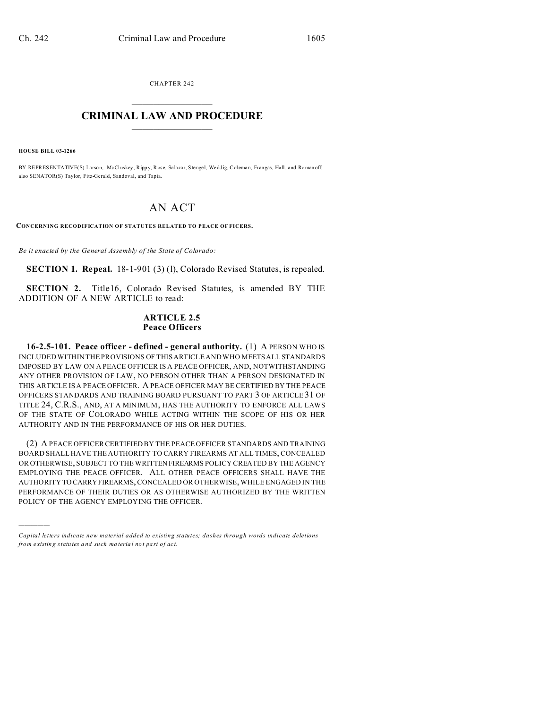CHAPTER 242  $\overline{\phantom{a}}$  , where  $\overline{\phantom{a}}$ 

## **CRIMINAL LAW AND PROCEDURE**  $\_$   $\_$   $\_$   $\_$   $\_$   $\_$   $\_$   $\_$   $\_$

**HOUSE BILL 03-1266**

)))))

BY REPRESENTATIVE(S) Larson, McCluskey, Rippy, Rose, Salazar, Stengel, Weddig, Coleman, Frangas, Hall, and Roman off; also SENATOR(S) Taylor, Fitz-Gerald, Sandoval, and Tapia.

# AN ACT

**CONCERNING RECODIFICATION OF STATUTES RELATED TO PEACE OF FICERS.**

*Be it enacted by the General Assembly of the State of Colorado:*

**SECTION 1. Repeal.** 18-1-901 (3) (1), Colorado Revised Statutes, is repealed.

**SECTION 2.** Title16, Colorado Revised Statutes, is amended BY THE ADDITION OF A NEW ARTICLE to read:

#### **ARTICLE 2.5 Peace Officers**

**16-2.5-101. Peace officer - defined - general authority.** (1) A PERSON WHO IS INCLUDED WITHIN THE PROVISIONS OF THIS ARTICLE AND WHO MEETS ALL STANDARDS IMPOSED BY LAW ON A PEACE OFFICER IS A PEACE OFFICER, AND, NOTWITHSTANDING ANY OTHER PROVISION OF LAW, NO PERSON OTHER THAN A PERSON DESIGNATED IN THIS ARTICLE IS A PEACE OFFICER. A PEACE OFFICER MAY BE CERTIFIED BY THE PEACE OFFICERS STANDARDS AND TRAINING BOARD PURSUANT TO PART 3 OF ARTICLE 31 OF TITLE 24, C.R.S., AND, AT A MINIMUM, HAS THE AUTHORITY TO ENFORCE ALL LAWS OF THE STATE OF COLORADO WHILE ACTING WITHIN THE SCOPE OF HIS OR HER AUTHORITY AND IN THE PERFORMANCE OF HIS OR HER DUTIES.

(2) A PEACE OFFICER CERTIFIED BY THE PEACE OFFICER STANDARDS AND TRAINING BOARD SHALL HAVE THE AUTHORITY TO CARRY FIREARMS AT ALL TIMES, CONCEALED OR OTHERWISE, SUBJECT TO THE WRITTEN FIREARMS POLICY CREATED BY THE AGENCY EMPLOYING THE PEACE OFFICER. ALL OTHER PEACE OFFICERS SHALL HAVE THE AUTHORITY TO CARRYFIREARMS, CONCEALED OR OTHERWISE, WHILE ENGAGED IN THE PERFORMANCE OF THEIR DUTIES OR AS OTHERWISE AUTHORIZED BY THE WRITTEN POLICY OF THE AGENCY EMPLOYING THE OFFICER.

*Capital letters indicate new material added to existing statutes; dashes through words indicate deletions from e xistin g statu tes a nd such ma teria l no t pa rt of ac t.*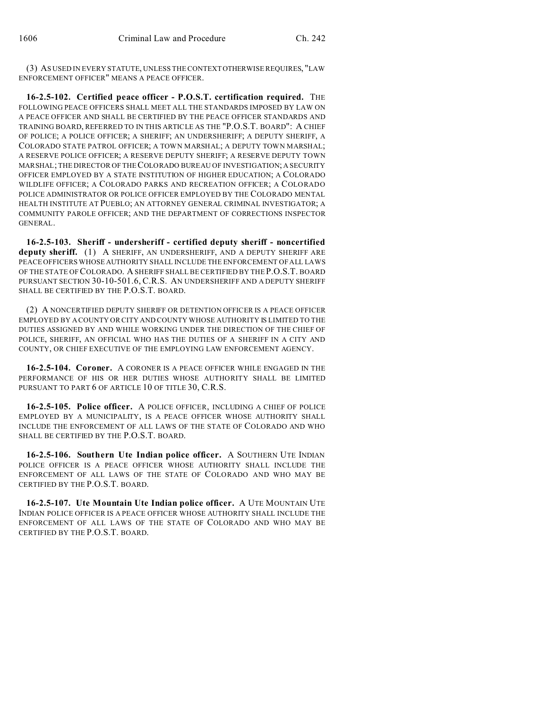(3) AS USED IN EVERY STATUTE, UNLESS THE CONTEXTOTHERWISE REQUIRES, "LAW ENFORCEMENT OFFICER" MEANS A PEACE OFFICER.

**16-2.5-102. Certified peace officer - P.O.S.T. certification required.** THE FOLLOWING PEACE OFFICERS SHALL MEET ALL THE STANDARDS IMPOSED BY LAW ON A PEACE OFFICER AND SHALL BE CERTIFIED BY THE PEACE OFFICER STANDARDS AND TRAINING BOARD, REFERRED TO IN THIS ARTICLE AS THE "P.O.S.T. BOARD": A CHIEF OF POLICE; A POLICE OFFICER; A SHERIFF; AN UNDERSHERIFF; A DEPUTY SHERIFF, A COLORADO STATE PATROL OFFICER; A TOWN MARSHAL; A DEPUTY TOWN MARSHAL; A RESERVE POLICE OFFICER; A RESERVE DEPUTY SHERIFF; A RESERVE DEPUTY TOWN MARSHAL; THE DIRECTOR OF THE COLORADO BUREAU OF INVESTIGATION; A SECURITY OFFICER EMPLOYED BY A STATE INSTITUTION OF HIGHER EDUCATION; A COLORADO WILDLIFE OFFICER; A COLORADO PARKS AND RECREATION OFFICER; A COLORADO POLICE ADMINISTRATOR OR POLICE OFFICER EMPLOYED BY THE COLORADO MENTAL HEALTH INSTITUTE AT PUEBLO; AN ATTORNEY GENERAL CRIMINAL INVESTIGATOR; A COMMUNITY PAROLE OFFICER; AND THE DEPARTMENT OF CORRECTIONS INSPECTOR GENERAL.

**16-2.5-103. Sheriff - undersheriff - certified deputy sheriff - noncertified deputy sheriff.** (1) A SHERIFF, AN UNDERSHERIFF, AND A DEPUTY SHERIFF ARE PEACE OFFICERS WHOSE AUTHORITY SHALL INCLUDE THE ENFORCEMENT OF ALL LAWS OF THE STATE OF COLORADO. A SHERIFF SHALL BE CERTIFIED BY THE P.O.S.T. BOARD PURSUANT SECTION 30-10-501.6, C.R.S. AN UNDERSHERIFF AND A DEPUTY SHERIFF SHALL BE CERTIFIED BY THE P.O.S.T. BOARD.

(2) A NONCERTIFIED DEPUTY SHERIFF OR DETENTION OFFICER IS A PEACE OFFICER EMPLOYED BY A COUNTY OR CITY AND COUNTY WHOSE AUTHORITY IS LIMITED TO THE DUTIES ASSIGNED BY AND WHILE WORKING UNDER THE DIRECTION OF THE CHIEF OF POLICE, SHERIFF, AN OFFICIAL WHO HAS THE DUTIES OF A SHERIFF IN A CITY AND COUNTY, OR CHIEF EXECUTIVE OF THE EMPLOYING LAW ENFORCEMENT AGENCY.

**16-2.5-104. Coroner.** A CORONER IS A PEACE OFFICER WHILE ENGAGED IN THE PERFORMANCE OF HIS OR HER DUTIES WHOSE AUTHORITY SHALL BE LIMITED PURSUANT TO PART 6 OF ARTICLE 10 OF TITLE 30, C.R.S.

**16-2.5-105. Police officer.** A POLICE OFFICER, INCLUDING A CHIEF OF POLICE EMPLOYED BY A MUNICIPALITY, IS A PEACE OFFICER WHOSE AUTHORITY SHALL INCLUDE THE ENFORCEMENT OF ALL LAWS OF THE STATE OF COLORADO AND WHO SHALL BE CERTIFIED BY THE P.O.S.T. BOARD.

**16-2.5-106. Southern Ute Indian police officer.** A SOUTHERN UTE INDIAN POLICE OFFICER IS A PEACE OFFICER WHOSE AUTHORITY SHALL INCLUDE THE ENFORCEMENT OF ALL LAWS OF THE STATE OF COLORADO AND WHO MAY BE CERTIFIED BY THE P.O.S.T. BOARD.

**16-2.5-107. Ute Mountain Ute Indian police officer.** A UTE MOUNTAIN UTE INDIAN POLICE OFFICER IS A PEACE OFFICER WHOSE AUTHORITY SHALL INCLUDE THE ENFORCEMENT OF ALL LAWS OF THE STATE OF COLORADO AND WHO MAY BE CERTIFIED BY THE P.O.S.T. BOARD.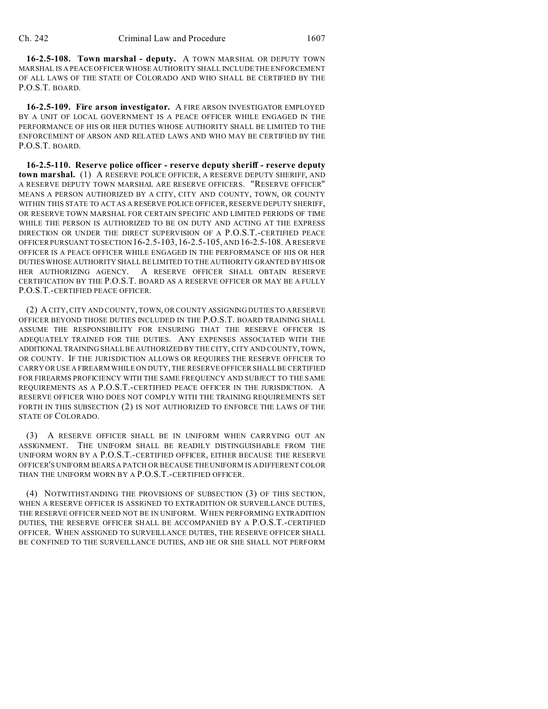**16-2.5-108. Town marshal - deputy.** A TOWN MARSHAL OR DEPUTY TOWN MARSHAL IS A PEACE OFFICER WHOSE AUTHORITY SHALL INCLUDE THE ENFORCEMENT OF ALL LAWS OF THE STATE OF COLORADO AND WHO SHALL BE CERTIFIED BY THE P.O.S.T. BOARD.

**16-2.5-109. Fire arson investigator.** A FIRE ARSON INVESTIGATOR EMPLOYED BY A UNIT OF LOCAL GOVERNMENT IS A PEACE OFFICER WHILE ENGAGED IN THE PERFORMANCE OF HIS OR HER DUTIES WHOSE AUTHORITY SHALL BE LIMITED TO THE ENFORCEMENT OF ARSON AND RELATED LAWS AND WHO MAY BE CERTIFIED BY THE P.O.S.T. BOARD.

**16-2.5-110. Reserve police officer - reserve deputy sheriff - reserve deputy town marshal.** (1) A RESERVE POLICE OFFICER, A RESERVE DEPUTY SHERIFF, AND A RESERVE DEPUTY TOWN MARSHAL ARE RESERVE OFFICERS. "RESERVE OFFICER" MEANS A PERSON AUTHORIZED BY A CITY, CITY AND COUNTY, TOWN, OR COUNTY WITHIN THIS STATE TO ACT AS A RESERVE POLICE OFFICER, RESERVE DEPUTY SHERIFF, OR RESERVE TOWN MARSHAL FOR CERTAIN SPECIFIC AND LIMITED PERIODS OF TIME WHILE THE PERSON IS AUTHORIZED TO BE ON DUTY AND ACTING AT THE EXPRESS DIRECTION OR UNDER THE DIRECT SUPERVISION OF A P.O.S.T.-CERTIFIED PEACE OFFICER PURSUANT TO SECTION 16-2.5-103,16-2.5-105, AND 16-2.5-108. A RESERVE OFFICER IS A PEACE OFFICER WHILE ENGAGED IN THE PERFORMANCE OF HIS OR HER DUTIES WHOSE AUTHORITY SHALL BE LIMITED TO THE AUTHORITY GRANTED BY HIS OR HER AUTHORIZING AGENCY. A RESERVE OFFICER SHALL OBTAIN RESERVE CERTIFICATION BY THE P.O.S.T. BOARD AS A RESERVE OFFICER OR MAY BE A FULLY P.O.S.T.-CERTIFIED PEACE OFFICER.

(2) A CITY, CITY AND COUNTY, TOWN, OR COUNTY ASSIGNING DUTIES TO A RESERVE OFFICER BEYOND THOSE DUTIES INCLUDED IN THE P.O.S.T. BOARD TRAINING SHALL ASSUME THE RESPONSIBILITY FOR ENSURING THAT THE RESERVE OFFICER IS ADEQUATELY TRAINED FOR THE DUTIES. ANY EXPENSES ASSOCIATED WITH THE ADDITIONAL TRAINING SHALL BE AUTHORIZED BY THE CITY, CITY AND COUNTY, TOWN, OR COUNTY. IF THE JURISDICTION ALLOWS OR REQUIRES THE RESERVE OFFICER TO CARRY OR USE A FIREARM WHILE ON DUTY, THE RESERVE OFFICER SHALL BE CERTIFIED FOR FIREARMS PROFICIENCY WITH THE SAME FREQUENCY AND SUBJECT TO THE SAME REQUIREMENTS AS A P.O.S.T.-CERTIFIED PEACE OFFICER IN THE JURISDICTION. A RESERVE OFFICER WHO DOES NOT COMPLY WITH THE TRAINING REQUIREMENTS SET FORTH IN THIS SUBSECTION (2) IS NOT AUTHORIZED TO ENFORCE THE LAWS OF THE STATE OF COLORADO.

(3) A RESERVE OFFICER SHALL BE IN UNIFORM WHEN CARRYING OUT AN ASSIGNMENT. THE UNIFORM SHALL BE READILY DISTINGUISHABLE FROM THE UNIFORM WORN BY A P.O.S.T.-CERTIFIED OFFICER, EITHER BECAUSE THE RESERVE OFFICER'S UNIFORM BEARS A PATCH OR BECAUSE THE UNIFORM IS A DIFFERENT COLOR THAN THE UNIFORM WORN BY A P.O.S.T.-CERTIFIED OFFICER.

(4) NOTWITHSTANDING THE PROVISIONS OF SUBSECTION (3) OF THIS SECTION, WHEN A RESERVE OFFICER IS ASSIGNED TO EXTRADITION OR SURVEILLANCE DUTIES, THE RESERVE OFFICER NEED NOT BE IN UNIFORM. WHEN PERFORMING EXTRADITION DUTIES, THE RESERVE OFFICER SHALL BE ACCOMPANIED BY A P.O.S.T.-CERTIFIED OFFICER. WHEN ASSIGNED TO SURVEILLANCE DUTIES, THE RESERVE OFFICER SHALL BE CONFINED TO THE SURVEILLANCE DUTIES, AND HE OR SHE SHALL NOT PERFORM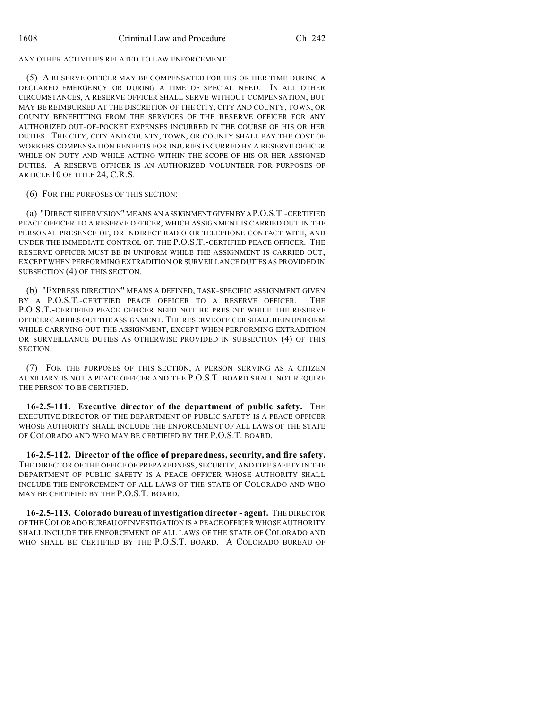ANY OTHER ACTIVITIES RELATED TO LAW ENFORCEMENT.

(5) A RESERVE OFFICER MAY BE COMPENSATED FOR HIS OR HER TIME DURING A DECLARED EMERGENCY OR DURING A TIME OF SPECIAL NEED. IN ALL OTHER CIRCUMSTANCES, A RESERVE OFFICER SHALL SERVE WITHOUT COMPENSATION, BUT MAY BE REIMBURSED AT THE DISCRETION OF THE CITY, CITY AND COUNTY, TOWN, OR COUNTY BENEFITTING FROM THE SERVICES OF THE RESERVE OFFICER FOR ANY AUTHORIZED OUT-OF-POCKET EXPENSES INCURRED IN THE COURSE OF HIS OR HER DUTIES. THE CITY, CITY AND COUNTY, TOWN, OR COUNTY SHALL PAY THE COST OF WORKERS COMPENSATION BENEFITS FOR INJURIES INCURRED BY A RESERVE OFFICER WHILE ON DUTY AND WHILE ACTING WITHIN THE SCOPE OF HIS OR HER ASSIGNED DUTIES. A RESERVE OFFICER IS AN AUTHORIZED VOLUNTEER FOR PURPOSES OF ARTICLE 10 OF TITLE 24, C.R.S.

(6) FOR THE PURPOSES OF THIS SECTION:

(a) "DIRECT SUPERVISION" MEANS AN ASSIGNMENTGIVENBY AP.O.S.T.-CERTIFIED PEACE OFFICER TO A RESERVE OFFICER, WHICH ASSIGNMENT IS CARRIED OUT IN THE PERSONAL PRESENCE OF, OR INDIRECT RADIO OR TELEPHONE CONTACT WITH, AND UNDER THE IMMEDIATE CONTROL OF, THE P.O.S.T.-CERTIFIED PEACE OFFICER. THE RESERVE OFFICER MUST BE IN UNIFORM WHILE THE ASSIGNMENT IS CARRIED OUT, EXCEPT WHEN PERFORMING EXTRADITION OR SURVEILLANCE DUTIES AS PROVIDED IN SUBSECTION (4) OF THIS SECTION.

(b) "EXPRESS DIRECTION" MEANS A DEFINED, TASK-SPECIFIC ASSIGNMENT GIVEN BY A P.O.S.T.-CERTIFIED PEACE OFFICER TO A RESERVE OFFICER. THE P.O.S.T.-CERTIFIED PEACE OFFICER NEED NOT BE PRESENT WHILE THE RESERVE OFFICER CARRIES OUT THE ASSIGNMENT. THE RESERVE OFFICER SHALL BE IN UNIFORM WHILE CARRYING OUT THE ASSIGNMENT, EXCEPT WHEN PERFORMING EXTRADITION OR SURVEILLANCE DUTIES AS OTHERWISE PROVIDED IN SUBSECTION (4) OF THIS SECTION.

(7) FOR THE PURPOSES OF THIS SECTION, A PERSON SERVING AS A CITIZEN AUXILIARY IS NOT A PEACE OFFICER AND THE P.O.S.T. BOARD SHALL NOT REQUIRE THE PERSON TO BE CERTIFIED.

**16-2.5-111. Executive director of the department of public safety.** THE EXECUTIVE DIRECTOR OF THE DEPARTMENT OF PUBLIC SAFETY IS A PEACE OFFICER WHOSE AUTHORITY SHALL INCLUDE THE ENFORCEMENT OF ALL LAWS OF THE STATE OF COLORADO AND WHO MAY BE CERTIFIED BY THE P.O.S.T. BOARD.

**16-2.5-112. Director of the office of preparedness, security, and fire safety.** THE DIRECTOR OF THE OFFICE OF PREPAREDNESS, SECURITY, AND FIRE SAFETY IN THE DEPARTMENT OF PUBLIC SAFETY IS A PEACE OFFICER WHOSE AUTHORITY SHALL INCLUDE THE ENFORCEMENT OF ALL LAWS OF THE STATE OF COLORADO AND WHO MAY BE CERTIFIED BY THE P.O.S.T. BOARD.

**16-2.5-113. Colorado bureau of investigation director - agent.** THE DIRECTOR OF THE COLORADO BUREAU OF INVESTIGATION IS A PEACE OFFICER WHOSE AUTHORITY SHALL INCLUDE THE ENFORCEMENT OF ALL LAWS OF THE STATE OF COLORADO AND WHO SHALL BE CERTIFIED BY THE P.O.S.T. BOARD. A COLORADO BUREAU OF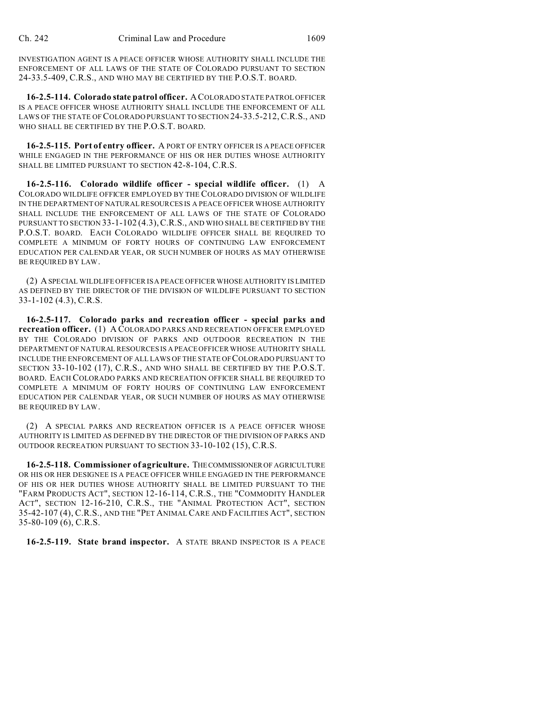INVESTIGATION AGENT IS A PEACE OFFICER WHOSE AUTHORITY SHALL INCLUDE THE ENFORCEMENT OF ALL LAWS OF THE STATE OF COLORADO PURSUANT TO SECTION 24-33.5-409, C.R.S., AND WHO MAY BE CERTIFIED BY THE P.O.S.T. BOARD.

**16-2.5-114. Colorado state patrol officer.** ACOLORADO STATE PATROL OFFICER IS A PEACE OFFICER WHOSE AUTHORITY SHALL INCLUDE THE ENFORCEMENT OF ALL LAWS OF THE STATE OF COLORADO PURSUANT TO SECTION 24-33.5-212,C.R.S., AND WHO SHALL BE CERTIFIED BY THE P.O.S.T. BOARD.

**16-2.5-115. Port of entry officer.** A PORT OF ENTRY OFFICER IS A PEACE OFFICER WHILE ENGAGED IN THE PERFORMANCE OF HIS OR HER DUTIES WHOSE AUTHORITY SHALL BE LIMITED PURSUANT TO SECTION 42-8-104, C.R.S.

**16-2.5-116. Colorado wildlife officer - special wildlife officer.** (1) A COLORADO WILDLIFE OFFICER EMPLOYED BY THE COLORADO DIVISION OF WILDLIFE IN THE DEPARTMENT OF NATURAL RESOURCES IS A PEACE OFFICER WHOSE AUTHORITY SHALL INCLUDE THE ENFORCEMENT OF ALL LAWS OF THE STATE OF COLORADO PURSUANT TO SECTION 33-1-102 (4.3), C.R.S., AND WHO SHALL BE CERTIFIED BY THE P.O.S.T. BOARD. EACH COLORADO WILDLIFE OFFICER SHALL BE REQUIRED TO COMPLETE A MINIMUM OF FORTY HOURS OF CONTINUING LAW ENFORCEMENT EDUCATION PER CALENDAR YEAR, OR SUCH NUMBER OF HOURS AS MAY OTHERWISE BE REQUIRED BY LAW.

(2) A SPECIAL WILDLIFE OFFICER IS A PEACE OFFICER WHOSE AUTHORITY IS LIMITED AS DEFINED BY THE DIRECTOR OF THE DIVISION OF WILDLIFE PURSUANT TO SECTION 33-1-102 (4.3), C.R.S.

**16-2.5-117. Colorado parks and recreation officer - special parks and recreation officer.** (1) A COLORADO PARKS AND RECREATION OFFICER EMPLOYED BY THE COLORADO DIVISION OF PARKS AND OUTDOOR RECREATION IN THE DEPARTMENT OF NATURAL RESOURCES IS A PEACE OFFICER WHOSE AUTHORITY SHALL INCLUDE THE ENFORCEMENT OF ALL LAWS OF THE STATE OF COLORADO PURSUANT TO SECTION 33-10-102 (17), C.R.S., AND WHO SHALL BE CERTIFIED BY THE P.O.S.T. BOARD. EACH COLORADO PARKS AND RECREATION OFFICER SHALL BE REQUIRED TO COMPLETE A MINIMUM OF FORTY HOURS OF CONTINUING LAW ENFORCEMENT EDUCATION PER CALENDAR YEAR, OR SUCH NUMBER OF HOURS AS MAY OTHERWISE BE REQUIRED BY LAW.

(2) A SPECIAL PARKS AND RECREATION OFFICER IS A PEACE OFFICER WHOSE AUTHORITY IS LIMITED AS DEFINED BY THE DIRECTOR OF THE DIVISION OF PARKS AND OUTDOOR RECREATION PURSUANT TO SECTION 33-10-102 (15), C.R.S.

**16-2.5-118. Commissioner of agriculture.** THECOMMISSIONER OF AGRICULTURE OR HIS OR HER DESIGNEE IS A PEACE OFFICER WHILE ENGAGED IN THE PERFORMANCE OF HIS OR HER DUTIES WHOSE AUTHORITY SHALL BE LIMITED PURSUANT TO THE "FARM PRODUCTS ACT", SECTION 12-16-114, C.R.S., THE "COMMODITY HANDLER ACT", SECTION 12-16-210, C.R.S., THE "ANIMAL PROTECTION ACT", SECTION 35-42-107 (4), C.R.S., AND THE "PET ANIMAL CARE AND FACILITIES ACT", SECTION 35-80-109 (6), C.R.S.

**16-2.5-119. State brand inspector.** A STATE BRAND INSPECTOR IS A PEACE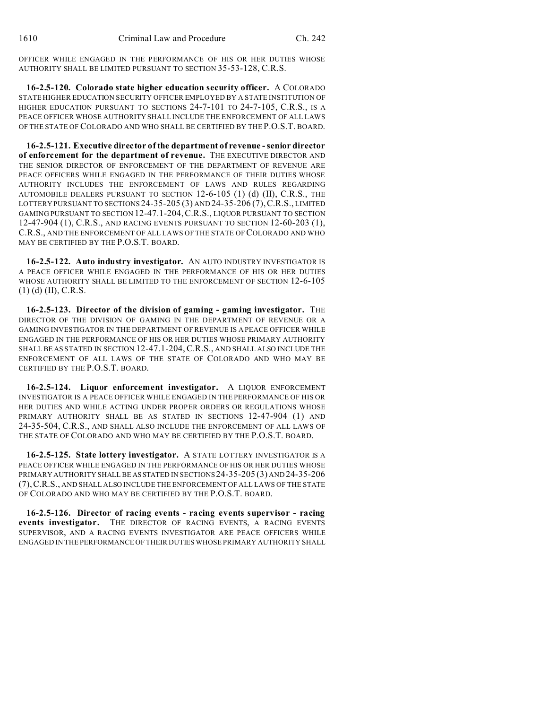OFFICER WHILE ENGAGED IN THE PERFORMANCE OF HIS OR HER DUTIES WHOSE AUTHORITY SHALL BE LIMITED PURSUANT TO SECTION 35-53-128, C.R.S.

**16-2.5-120. Colorado state higher education security officer.** A COLORADO STATE HIGHER EDUCATION SECURITY OFFICER EMPLOYED BY A STATE INSTITUTION OF HIGHER EDUCATION PURSUANT TO SECTIONS 24-7-101 TO 24-7-105, C.R.S., IS A PEACE OFFICER WHOSE AUTHORITY SHALL INCLUDE THE ENFORCEMENT OF ALL LAWS OF THE STATE OF COLORADO AND WHO SHALL BE CERTIFIED BY THE P.O.S.T. BOARD.

**16-2.5-121. Executive director of the department of revenue - senior director of enforcement for the department of revenue.** THE EXECUTIVE DIRECTOR AND THE SENIOR DIRECTOR OF ENFORCEMENT OF THE DEPARTMENT OF REVENUE ARE PEACE OFFICERS WHILE ENGAGED IN THE PERFORMANCE OF THEIR DUTIES WHOSE AUTHORITY INCLUDES THE ENFORCEMENT OF LAWS AND RULES REGARDING AUTOMOBILE DEALERS PURSUANT TO SECTION 12-6-105 (1) (d) (II), C.R.S., THE LOTTERY PURSUANT TO SECTIONS 24-35-205 (3) AND 24-35-206 (7),C.R.S., LIMITED GAMING PURSUANT TO SECTION 12-47.1-204,C.R.S., LIQUOR PURSUANT TO SECTION 12-47-904 (1), C.R.S., AND RACING EVENTS PURSUANT TO SECTION 12-60-203 (1), C.R.S., AND THE ENFORCEMENT OF ALL LAWS OF THE STATE OF COLORADO AND WHO MAY BE CERTIFIED BY THE P.O.S.T. BOARD.

**16-2.5-122. Auto industry investigator.** AN AUTO INDUSTRY INVESTIGATOR IS A PEACE OFFICER WHILE ENGAGED IN THE PERFORMANCE OF HIS OR HER DUTIES WHOSE AUTHORITY SHALL BE LIMITED TO THE ENFORCEMENT OF SECTION 12-6-105 (1) (d) (II), C.R.S.

**16-2.5-123. Director of the division of gaming - gaming investigator.** THE DIRECTOR OF THE DIVISION OF GAMING IN THE DEPARTMENT OF REVENUE OR A GAMING INVESTIGATOR IN THE DEPARTMENT OF REVENUE IS A PEACE OFFICER WHILE ENGAGED IN THE PERFORMANCE OF HIS OR HER DUTIES WHOSE PRIMARY AUTHORITY SHALL BE AS STATED IN SECTION 12-47.1-204,C.R.S., AND SHALL ALSO INCLUDE THE ENFORCEMENT OF ALL LAWS OF THE STATE OF COLORADO AND WHO MAY BE CERTIFIED BY THE P.O.S.T. BOARD.

**16-2.5-124. Liquor enforcement investigator.** A LIQUOR ENFORCEMENT INVESTIGATOR IS A PEACE OFFICER WHILE ENGAGED IN THE PERFORMANCE OF HIS OR HER DUTIES AND WHILE ACTING UNDER PROPER ORDERS OR REGULATIONS WHOSE PRIMARY AUTHORITY SHALL BE AS STATED IN SECTIONS 12-47-904 (1) AND 24-35-504, C.R.S., AND SHALL ALSO INCLUDE THE ENFORCEMENT OF ALL LAWS OF THE STATE OF COLORADO AND WHO MAY BE CERTIFIED BY THE P.O.S.T. BOARD.

**16-2.5-125. State lottery investigator.** A STATE LOTTERY INVESTIGATOR IS A PEACE OFFICER WHILE ENGAGED IN THE PERFORMANCE OF HIS OR HER DUTIES WHOSE PRIMARY AUTHORITY SHALL BE ASSTATED IN SECTIONS 24-35-205 (3) AND 24-35-206 (7),C.R.S., AND SHALL ALSO INCLUDE THE ENFORCEMENT OF ALL LAWS OF THE STATE OF COLORADO AND WHO MAY BE CERTIFIED BY THE P.O.S.T. BOARD.

**16-2.5-126. Director of racing events - racing events supervisor - racing events investigator.** THE DIRECTOR OF RACING EVENTS, A RACING EVENTS SUPERVISOR, AND A RACING EVENTS INVESTIGATOR ARE PEACE OFFICERS WHILE ENGAGED IN THE PERFORMANCE OF THEIR DUTIES WHOSE PRIMARY AUTHORITY SHALL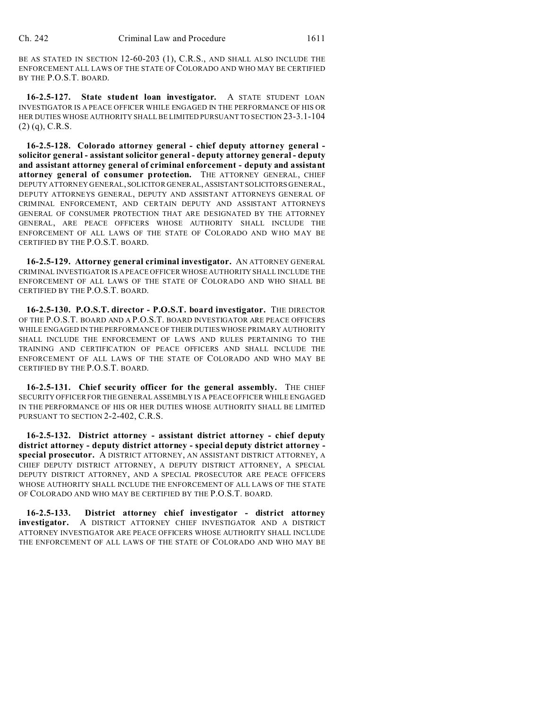BE AS STATED IN SECTION 12-60-203 (1), C.R.S., AND SHALL ALSO INCLUDE THE ENFORCEMENT ALL LAWS OF THE STATE OF COLORADO AND WHO MAY BE CERTIFIED BY THE P.O.S.T. BOARD.

**16-2.5-127. State student loan investigator.** A STATE STUDENT LOAN INVESTIGATOR IS A PEACE OFFICER WHILE ENGAGED IN THE PERFORMANCE OF HIS OR HER DUTIES WHOSE AUTHORITY SHALL BE LIMITED PURSUANT TO SECTION 23-3.1-104  $(2)$  (q), C.R.S.

**16-2.5-128. Colorado attorney general - chief deputy attorney general solicitor general - assistant solicitor general - deputy attorney general - deputy and assistant attorney general of criminal enforcement - deputy and assistant attorney general of consumer protection.** THE ATTORNEY GENERAL, CHIEF DEPUTY ATTORNEY GENERAL, SOLICITOR GENERAL, ASSISTANT SOLICITORS GENERAL, DEPUTY ATTORNEYS GENERAL, DEPUTY AND ASSISTANT ATTORNEYS GENERAL OF CRIMINAL ENFORCEMENT, AND CERTAIN DEPUTY AND ASSISTANT ATTORNEYS GENERAL OF CONSUMER PROTECTION THAT ARE DESIGNATED BY THE ATTORNEY GENERAL, ARE PEACE OFFICERS WHOSE AUTHORITY SHALL INCLUDE THE ENFORCEMENT OF ALL LAWS OF THE STATE OF COLORADO AND WHO MAY BE CERTIFIED BY THE P.O.S.T. BOARD.

**16-2.5-129. Attorney general criminal investigator.** AN ATTORNEY GENERAL CRIMINAL INVESTIGATOR IS A PEACE OFFICER WHOSE AUTHORITY SHALL INCLUDE THE ENFORCEMENT OF ALL LAWS OF THE STATE OF COLORADO AND WHO SHALL BE CERTIFIED BY THE P.O.S.T. BOARD.

**16-2.5-130. P.O.S.T. director - P.O.S.T. board investigator.** THE DIRECTOR OF THE P.O.S.T. BOARD AND A P.O.S.T. BOARD INVESTIGATOR ARE PEACE OFFICERS WHILE ENGAGED IN THE PERFORMANCE OF THEIR DUTIESWHOSE PRIMARY AUTHORITY SHALL INCLUDE THE ENFORCEMENT OF LAWS AND RULES PERTAINING TO THE TRAINING AND CERTIFICATION OF PEACE OFFICERS AND SHALL INCLUDE THE ENFORCEMENT OF ALL LAWS OF THE STATE OF COLORADO AND WHO MAY BE CERTIFIED BY THE P.O.S.T. BOARD.

**16-2.5-131. Chief security officer for the general assembly.** THE CHIEF SECURITY OFFICER FOR THE GENERAL ASSEMBLY IS A PEACE OFFICER WHILE ENGAGED IN THE PERFORMANCE OF HIS OR HER DUTIES WHOSE AUTHORITY SHALL BE LIMITED PURSUANT TO SECTION 2-2-402, C.R.S.

**16-2.5-132. District attorney - assistant district attorney - chief deputy district attorney - deputy district attorney - special deputy district attorney special prosecutor.** A DISTRICT ATTORNEY, AN ASSISTANT DISTRICT ATTORNEY, A CHIEF DEPUTY DISTRICT ATTORNEY, A DEPUTY DISTRICT ATTORNEY, A SPECIAL DEPUTY DISTRICT ATTORNEY, AND A SPECIAL PROSECUTOR ARE PEACE OFFICERS WHOSE AUTHORITY SHALL INCLUDE THE ENFORCEMENT OF ALL LAWS OF THE STATE OF COLORADO AND WHO MAY BE CERTIFIED BY THE P.O.S.T. BOARD.

**16-2.5-133. District attorney chief investigator - district attorney investigator.** A DISTRICT ATTORNEY CHIEF INVESTIGATOR AND A DISTRICT ATTORNEY INVESTIGATOR ARE PEACE OFFICERS WHOSE AUTHORITY SHALL INCLUDE THE ENFORCEMENT OF ALL LAWS OF THE STATE OF COLORADO AND WHO MAY BE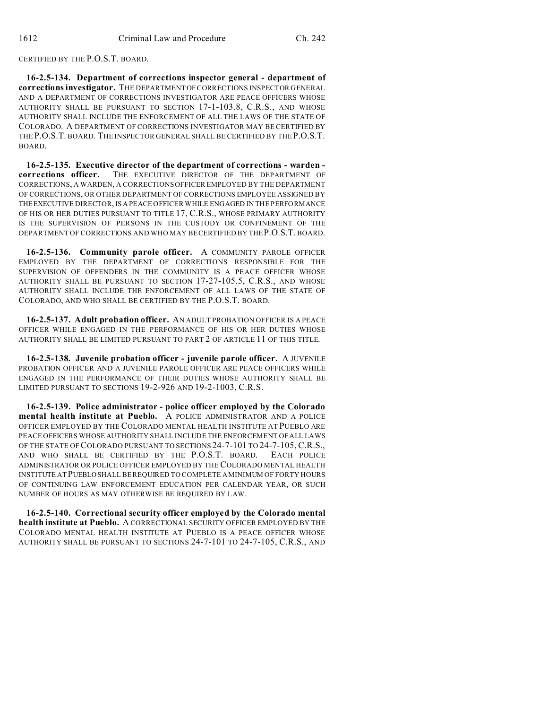### CERTIFIED BY THE P.O.S.T. BOARD.

**16-2.5-134. Department of corrections inspector general - department of corrections investigator.** THE DEPARTMENT OF CORRECTIONS INSPECTOR GENERAL AND A DEPARTMENT OF CORRECTIONS INVESTIGATOR ARE PEACE OFFICERS WHOSE AUTHORITY SHALL BE PURSUANT TO SECTION 17-1-103.8, C.R.S., AND WHOSE AUTHORITY SHALL INCLUDE THE ENFORCEMENT OF ALL THE LAWS OF THE STATE OF COLORADO. A DEPARTMENT OF CORRECTIONS INVESTIGATOR MAY BE CERTIFIED BY THE P.O.S.T. BOARD. THE INSPECTOR GENERAL SHALL BE CERTIFIED BY THE P.O.S.T. BOARD.

**16-2.5-135. Executive director of the department of corrections - warden corrections officer.** THE EXECUTIVE DIRECTOR OF THE DEPARTMENT OF CORRECTIONS, A WARDEN, A CORRECTIONS OFFICER EMPLOYED BY THE DEPARTMENT OF CORRECTIONS, OR OTHER DEPARTMENT OF CORRECTIONS EMPLOYEE ASSIGNED BY THEEXECUTIVE DIRECTOR, IS A PEACE OFFICER WHILE ENGAGED IN THE PERFORMANCE OF HIS OR HER DUTIES PURSUANT TO TITLE 17, C.R.S., WHOSE PRIMARY AUTHORITY IS THE SUPERVISION OF PERSONS IN THE CUSTODY OR CONFINEMENT OF THE DEPARTMENT OF CORRECTIONS AND WHO MAY BE CERTIFIED BY THE P.O.S.T. BOARD.

**16-2.5-136. Community parole officer.** A COMMUNITY PAROLE OFFICER EMPLOYED BY THE DEPARTMENT OF CORRECTIONS RESPONSIBLE FOR THE SUPERVISION OF OFFENDERS IN THE COMMUNITY IS A PEACE OFFICER WHOSE AUTHORITY SHALL BE PURSUANT TO SECTION 17-27-105.5, C.R.S., AND WHOSE AUTHORITY SHALL INCLUDE THE ENFORCEMENT OF ALL LAWS OF THE STATE OF COLORADO, AND WHO SHALL BE CERTIFIED BY THE P.O.S.T. BOARD.

**16-2.5-137. Adult probation officer.** AN ADULT PROBATION OFFICER IS A PEACE OFFICER WHILE ENGAGED IN THE PERFORMANCE OF HIS OR HER DUTIES WHOSE AUTHORITY SHALL BE LIMITED PURSUANT TO PART 2 OF ARTICLE 11 OF THIS TITLE.

**16-2.5-138. Juvenile probation officer - juvenile parole officer.** A JUVENILE PROBATION OFFICER AND A JUVENILE PAROLE OFFICER ARE PEACE OFFICERS WHILE ENGAGED IN THE PERFORMANCE OF THEIR DUTIES WHOSE AUTHORITY SHALL BE LIMITED PURSUANT TO SECTIONS 19-2-926 AND 19-2-1003, C.R.S.

**16-2.5-139. Police administrator - police officer employed by the Colorado mental health institute at Pueblo.** A POLICE ADMINISTRATOR AND A POLICE OFFICER EMPLOYED BY THE COLORADO MENTAL HEALTH INSTITUTE AT PUEBLO ARE PEACE OFFICERS WHOSE AUTHORITY SHALL INCLUDE THE ENFORCEMENT OF ALL LAWS OF THE STATE OF COLORADO PURSUANT TO SECTIONS 24-7-101 TO 24-7-105, C.R.S., AND WHO SHALL BE CERTIFIED BY THE P.O.S.T. BOARD. EACH POLICE ADMINISTRATOR OR POLICE OFFICER EMPLOYED BY THE COLORADO MENTAL HEALTH INSTITUTE AT PUEBLOSHALL BE REQUIRED TO COMPLETE A MINIMUM OF FORTY HOURS OF CONTINUING LAW ENFORCEMENT EDUCATION PER CALENDAR YEAR, OR SUCH NUMBER OF HOURS AS MAY OTHERWISE BE REQUIRED BY LAW.

**16-2.5-140. Correctional security officer employed by the Colorado mental health institute at Pueblo.** A CORRECTIONAL SECURITY OFFICER EMPLOYED BY THE COLORADO MENTAL HEALTH INSTITUTE AT PUEBLO IS A PEACE OFFICER WHOSE AUTHORITY SHALL BE PURSUANT TO SECTIONS 24-7-101 TO 24-7-105, C.R.S., AND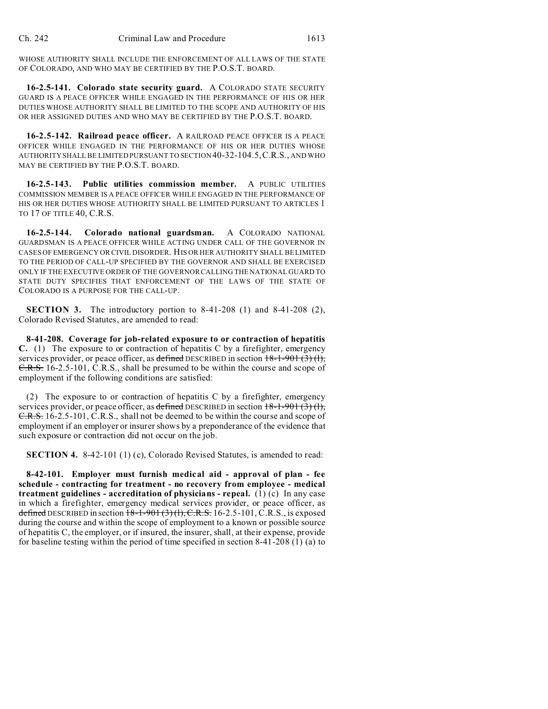WHOSE AUTHORITY SHALL INCLUDE THE ENFORCEMENT OF ALL LAWS OF THE STATE OF COLORADO, AND WHO MAY BE CERTIFIED BY THE P.O.S.T. BOARD.

**16-2.5-141. Colorado state security guard.** A COLORADO STATE SECURITY GUARD IS A PEACE OFFICER WHILE ENGAGED IN THE PERFORMANCE OF HIS OR HER DUTIES WHOSE AUTHORITY SHALL BE LIMITED TO THE SCOPE AND AUTHORITY OF HIS OR HER ASSIGNED DUTIES AND WHO MAY BE CERTIFIED BY THE P.O.S.T. BOARD.

**16-2.5-142. Railroad peace officer.** A RAILROAD PEACE OFFICER IS A PEACE OFFICER WHILE ENGAGED IN THE PERFORMANCE OF HIS OR HER DUTIES WHOSE AUTHORITY SHALL BE LIMITED PURSUANT TO SECTION 40-32-104.5,C.R.S., AND WHO MAY BE CERTIFIED BY THE P.O.S.T. BOARD.

**16-2.5-143. Public utilities commission member.** A PUBLIC UTILITIES COMMISSION MEMBER IS A PEACE OFFICER WHILE ENGAGED IN THE PERFORMANCE OF HIS OR HER DUTIES WHOSE AUTHORITY SHALL BE LIMITED PURSUANT TO ARTICLES 1 TO 17 OF TITLE 40, C.R.S.

**16-2.5-144. Colorado national guardsman.** A COLORADO NATIONAL GUARDSMAN IS A PEACE OFFICER WHILE ACTING UNDER CALL OF THE GOVERNOR IN CASES OF EMERGENCY OR CIVIL DISORDER. HIS OR HER AUTHORITY SHALL BE LIMITED TO THE PERIOD OF CALL-UP SPECIFIED BY THE GOVERNOR AND SHALL BE EXERCISED ONLY IF THE EXECUTIVE ORDER OF THE GOVERNOR CALLING THE NATIONAL GUARD TO STATE DUTY SPECIFIES THAT ENFORCEMENT OF THE LAWS OF THE STATE OF COLORADO IS A PURPOSE FOR THE CALL-UP.

**SECTION 3.** The introductory portion to 8-41-208 (1) and 8-41-208 (2), Colorado Revised Statutes, are amended to read:

**8-41-208. Coverage for job-related exposure to or contraction of hepatitis C.** (1) The exposure to or contraction of hepatitis C by a firefighter, emergency services provider, or peace officer, as defined DESCRIBED in section  $18-1-901(3)(1)$ , C.R.S. 16-2.5-101, C.R.S., shall be presumed to be within the course and scope of employment if the following conditions are satisfied:

(2) The exposure to or contraction of hepatitis C by a firefighter, emergency services provider, or peace officer, as defined DESCRIBED in section  $18-1-901(3)(1)$ , C.R.S. 16-2.5-101, C.R.S., shall not be deemed to be within the course and scope of employment if an employer or insurer shows by a preponderance of the evidence that such exposure or contraction did not occur on the job.

**SECTION 4.** 8-42-101 (1) (c), Colorado Revised Statutes, is amended to read:

**8-42-101. Employer must furnish medical aid - approval of plan - fee schedule - contracting for treatment - no recovery from employee - medical treatment guidelines - accreditation of physicians - repeal.** (1) (c) In any case in which a firefighter, emergency medical services provider, or peace officer, as defined DESCRIBED in section  $18-1-901(3)(1)$ , C.R.S. 16-2.5-101, C.R.S., is exposed during the course and within the scope of employment to a known or possible source of hepatitis C, the employer, or if insured, the insurer, shall, at their expense, provide for baseline testing within the period of time specified in section 8-41-208 (1) (a) to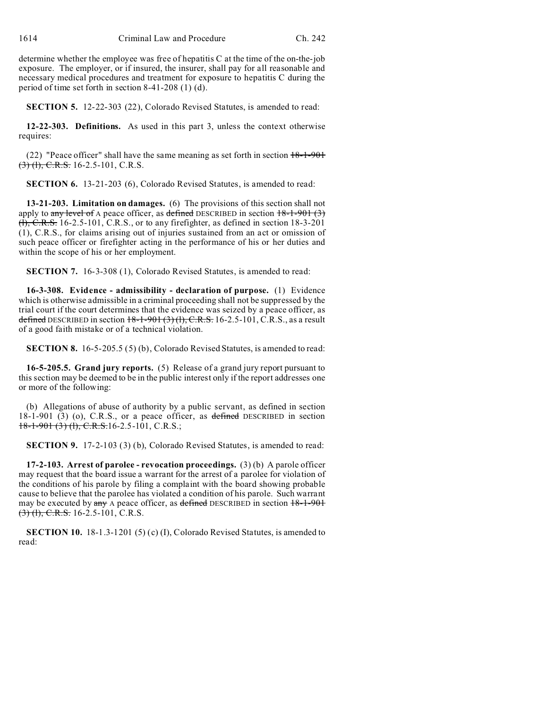determine whether the employee was free of hepatitis C at the time of the on-the-job exposure. The employer, or if insured, the insurer, shall pay for all reasonable and necessary medical procedures and treatment for exposure to hepatitis C during the period of time set forth in section 8-41-208 (1) (d).

**SECTION 5.** 12-22-303 (22), Colorado Revised Statutes, is amended to read:

**12-22-303. Definitions.** As used in this part 3, unless the context otherwise requires:

(22) "Peace officer" shall have the same meaning as set forth in section  $18-1-901$  $(3)$  (1), C.R.S. 16-2.5-101, C.R.S.

**SECTION 6.** 13-21-203 (6), Colorado Revised Statutes, is amended to read:

**13-21-203. Limitation on damages.** (6) The provisions of this section shall not apply to any level of A peace officer, as defined DESCRIBED in section  $18-1-901$  (3)  $\overline{(1)}$ , C.R.S. 16-2.5-101, C.R.S., or to any firefighter, as defined in section 18-3-201 (1), C.R.S., for claims arising out of injuries sustained from an act or omission of such peace officer or firefighter acting in the performance of his or her duties and within the scope of his or her employment.

**SECTION 7.** 16-3-308 (1), Colorado Revised Statutes, is amended to read:

**16-3-308. Evidence - admissibility - declaration of purpose.** (1) Evidence which is otherwise admissible in a criminal proceeding shall not be suppressed by the trial court if the court determines that the evidence was seized by a peace officer, as defined DESCRIBED in section  $18-1-901(3)(1)$ , C.R.S. 16-2.5-101, C.R.S., as a result of a good faith mistake or of a technical violation.

**SECTION 8.** 16-5-205.5 (5) (b), Colorado Revised Statutes, is amended to read:

**16-5-205.5. Grand jury reports.** (5) Release of a grand jury report pursuant to this section may be deemed to be in the public interest only if the report addresses one or more of the following:

(b) Allegations of abuse of authority by a public servant, as defined in section 18-1-901 (3) (o), C.R.S., or a peace officer, as defined DESCRIBED in section  $18-1-901$  (3) (1), C.R.S.16-2.5-101, C.R.S.;

**SECTION 9.** 17-2-103 (3) (b), Colorado Revised Statutes, is amended to read:

**17-2-103. Arrest of parolee - revocation proceedings.** (3) (b) A parole officer may request that the board issue a warrant for the arrest of a parolee for violation of the conditions of his parole by filing a complaint with the board showing probable cause to believe that the parolee has violated a condition of his parole. Such warrant may be executed by  $\frac{any}{any}$  A peace officer, as defined DESCRIBED in section  $18-1-901$  $(3)$  (1), C.R.S. 16-2.5-101, C.R.S.

**SECTION 10.** 18-1.3-1201 (5) (c) (I), Colorado Revised Statutes, is amended to read: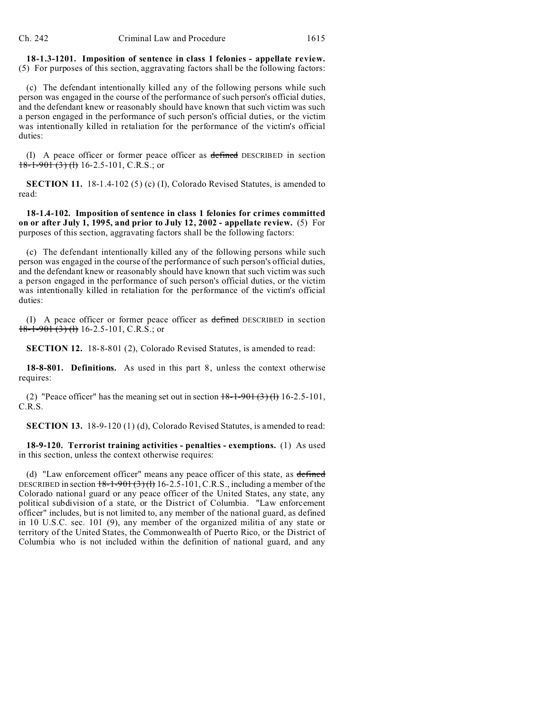**18-1.3-1201. Imposition of sentence in class 1 felonies - appellate review.** (5) For purposes of this section, aggravating factors shall be the following factors:

(c) The defendant intentionally killed any of the following persons while such person was engaged in the course of the performance of such person's official duties, and the defendant knew or reasonably should have known that such victim was such a person engaged in the performance of such person's official duties, or the victim was intentionally killed in retaliation for the performance of the victim's official duties:

(I) A peace officer or former peace officer as defined DESCRIBED in section  $18-1-901(3)$  (1) 16-2.5-101, C.R.S.; or

**SECTION 11.** 18-1.4-102 (5) (c) (I), Colorado Revised Statutes, is amended to read:

**18-1.4-102. Imposition of sentence in class 1 felonies for crimes committed on or after July 1, 1995, and prior to July 12, 2002 - appellate review.** (5) For purposes of this section, aggravating factors shall be the following factors:

(c) The defendant intentionally killed any of the following persons while such person was engaged in the course of the performance of such person's official duties, and the defendant knew or reasonably should have known that such victim was such a person engaged in the performance of such person's official duties, or the victim was intentionally killed in retaliation for the performance of the victim's official duties:

(I) A peace officer or former peace officer as defined DESCRIBED in section  $18-1-901(3)$  (l) 16-2.5-101, C.R.S.; or

**SECTION 12.** 18-8-801 (2), Colorado Revised Statutes, is amended to read:

**18-8-801. Definitions.** As used in this part 8, unless the context otherwise requires:

(2) "Peace officer" has the meaning set out in section  $18-1-901(3)(1)$  16-2.5-101, C.R.S.

**SECTION 13.** 18-9-120 (1) (d), Colorado Revised Statutes, is amended to read:

**18-9-120. Terrorist training activities - penalties - exemptions.** (1) As used in this section, unless the context otherwise requires:

(d) "Law enforcement officer" means any peace officer of this state, as defined DESCRIBED in section  $18-1-901(3)(h)$  16-2.5-101, C.R.S., including a member of the Colorado national guard or any peace officer of the United States, any state, any political subdivision of a state, or the District of Columbia. "Law enforcement officer" includes, but is not limited to, any member of the national guard, as defined in 10 U.S.C. sec. 101 (9), any member of the organized militia of any state or territory of the United States, the Commonwealth of Puerto Rico, or the District of Columbia who is not included within the definition of national guard, and any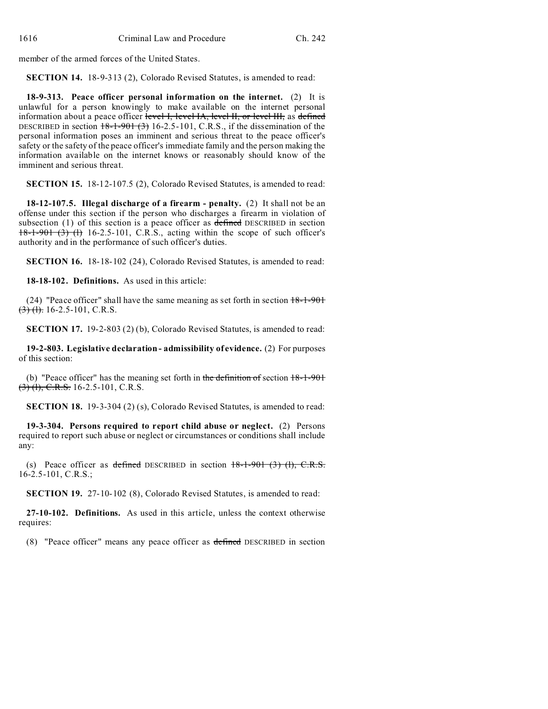member of the armed forces of the United States.

**SECTION 14.** 18-9-313 (2), Colorado Revised Statutes, is amended to read:

**18-9-313. Peace officer personal information on the internet.** (2) It is unlawful for a person knowingly to make available on the internet personal information about a peace officer level I, level IA, level II, or level III, as defined DESCRIBED in section  $18-1-901(3)$  16-2.5-101, C.R.S., if the dissemination of the personal information poses an imminent and serious threat to the peace officer's safety or the safety of the peace officer's immediate family and the person making the information available on the internet knows or reasonably should know of the imminent and serious threat.

**SECTION 15.** 18-12-107.5 (2), Colorado Revised Statutes, is amended to read:

**18-12-107.5. Illegal discharge of a firearm - penalty.** (2) It shall not be an offense under this section if the person who discharges a firearm in violation of subsection  $(1)$  of this section is a peace officer as defined DESCRIBED in section  $18-1-901$  (3) (1) 16-2.5-101, C.R.S., acting within the scope of such officer's authority and in the performance of such officer's duties.

**SECTION 16.** 18-18-102 (24), Colorado Revised Statutes, is amended to read:

**18-18-102. Definitions.** As used in this article:

(24) "Peace officer" shall have the same meaning as set forth in section  $18-1-901$  $(3)$  (1). 16-2.5-101, C.R.S.

**SECTION 17.** 19-2-803 (2) (b), Colorado Revised Statutes, is amended to read:

**19-2-803. Legislative declaration - admissibility of evidence.** (2) For purposes of this section:

(b) "Peace officer" has the meaning set forth in the definition of section  $18-1-901$  $(3)$  (1), C.R.S. 16-2.5-101, C.R.S.

**SECTION 18.** 19-3-304 (2) (s), Colorado Revised Statutes, is amended to read:

**19-3-304. Persons required to report child abuse or neglect.** (2) Persons required to report such abuse or neglect or circumstances or conditions shall include any:

(s) Peace officer as defined DESCRIBED in section  $18-1-901$  (3) (1), C.R.S. 16-2.5-101, C.R.S.;

**SECTION 19.** 27-10-102 (8), Colorado Revised Statutes, is amended to read:

**27-10-102. Definitions.** As used in this article, unless the context otherwise requires:

(8) "Peace officer" means any peace officer as defined DESCRIBED in section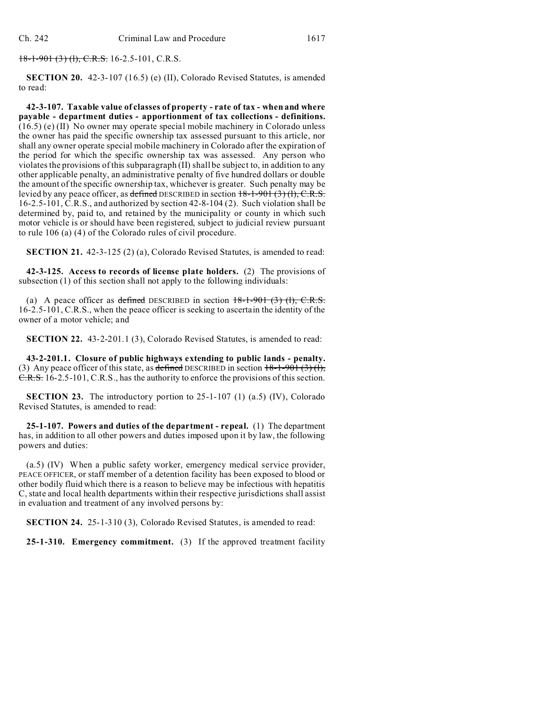$18-1-901$  (3) (1), C.R.S. 16-2.5-101, C.R.S.

**SECTION 20.** 42-3-107 (16.5) (e) (II), Colorado Revised Statutes, is amended to read:

**42-3-107. Taxable value of classes of property - rate of tax - when and where payable - department duties - apportionment of tax collections - definitions.** (16.5) (e) (II) No owner may operate special mobile machinery in Colorado unless the owner has paid the specific ownership tax assessed pursuant to this article, nor shall any owner operate special mobile machinery in Colorado after the expiration of the period for which the specific ownership tax was assessed. Any person who violates the provisions of this subparagraph (II) shall be subject to, in addition to any other applicable penalty, an administrative penalty of five hundred dollars or double the amount of the specific ownership tax, whichever is greater. Such penalty may be levied by any peace officer, as defined DESCRIBED in section  $18-1-901(3)$  (l), C.R.S. 16-2.5-101, C.R.S., and authorized by section 42-8-104 (2). Such violation shall be determined by, paid to, and retained by the municipality or county in which such motor vehicle is or should have been registered, subject to judicial review pursuant to rule 106 (a) (4) of the Colorado rules of civil procedure.

**SECTION 21.** 42-3-125 (2) (a), Colorado Revised Statutes, is amended to read:

**42-3-125. Access to records of license plate holders.** (2) The provisions of subsection (1) of this section shall not apply to the following individuals:

(a) A peace officer as defined DESCRIBED in section  $18-1-901$  (3) (1), C.R.S. 16-2.5-101, C.R.S., when the peace officer is seeking to ascertain the identity of the owner of a motor vehicle; and

**SECTION 22.** 43-2-201.1 (3), Colorado Revised Statutes, is amended to read:

**43-2-201.1. Closure of public highways extending to public lands - penalty.** (3) Any peace officer of this state, as defined DESCRIBED in section  $18-1-901$  (3) (1), C.R.S. 16-2.5-101, C.R.S., has the authority to enforce the provisions of this section.

**SECTION 23.** The introductory portion to 25-1-107 (1) (a.5) (IV), Colorado Revised Statutes, is amended to read:

**25-1-107. Powers and duties of the department - repeal.** (1) The department has, in addition to all other powers and duties imposed upon it by law, the following powers and duties:

(a.5) (IV) When a public safety worker, emergency medical service provider, PEACE OFFICER, or staff member of a detention facility has been exposed to blood or other bodily fluid which there is a reason to believe may be infectious with hepatitis C, state and local health departments within their respective jurisdictions shall assist in evaluation and treatment of any involved persons by:

**SECTION 24.** 25-1-310 (3), Colorado Revised Statutes, is amended to read:

**25-1-310. Emergency commitment.** (3) If the approved treatment facility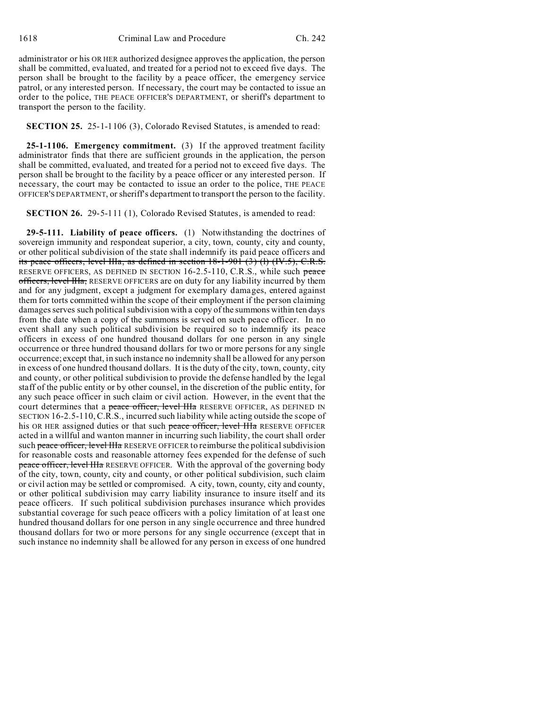administrator or his OR HER authorized designee approves the application, the person shall be committed, evaluated, and treated for a period not to exceed five days. The person shall be brought to the facility by a peace officer, the emergency service patrol, or any interested person. If necessary, the court may be contacted to issue an order to the police, THE PEACE OFFICER'S DEPARTMENT, or sheriff's department to transport the person to the facility.

#### **SECTION 25.** 25-1-1106 (3), Colorado Revised Statutes, is amended to read:

**25-1-1106. Emergency commitment.** (3) If the approved treatment facility administrator finds that there are sufficient grounds in the application, the person shall be committed, evaluated, and treated for a period not to exceed five days. The person shall be brought to the facility by a peace officer or any interested person. If necessary, the court may be contacted to issue an order to the police, THE PEACE OFFICER'S DEPARTMENT, or sheriff's department to transport the person to the facility.

**SECTION 26.** 29-5-111 (1), Colorado Revised Statutes, is amended to read:

**29-5-111. Liability of peace officers.** (1) Notwithstanding the doctrines of sovereign immunity and respondeat superior, a city, town, county, city and county, or other political subdivision of the state shall indemnify its paid peace officers and its peace officers, level IIIa, as defined in section 18-1-901 (3) (l) (IV.5), C.R.S. RESERVE OFFICERS, AS DEFINED IN SECTION 16-2.5-110, C.R.S., while such peace officers, level HIa, RESERVE OFFICERS are on duty for any liability incurred by them and for any judgment, except a judgment for exemplary damages, entered against them for torts committed within the scope of their employment if the person claiming damages serves such political subdivision with a copy of the summons within ten days from the date when a copy of the summons is served on such peace officer. In no event shall any such political subdivision be required so to indemnify its peace officers in excess of one hundred thousand dollars for one person in any single occurrence or three hundred thousand dollars for two or more persons for any single occurrence; except that, in such instance no indemnity shall be allowed for any person in excess of one hundred thousand dollars. It is the duty of the city, town, county, city and county, or other political subdivision to provide the defense handled by the legal staff of the public entity or by other counsel, in the discretion of the public entity, for any such peace officer in such claim or civil action. However, in the event that the court determines that a peace officer, level IIIa RESERVE OFFICER, AS DEFINED IN SECTION 16-2.5-110,C.R.S., incurred such liability while acting outside the scope of his OR HER assigned duties or that such peace officer, level IIIa RESERVE OFFICER acted in a willful and wanton manner in incurring such liability, the court shall order such peace officer, level IIIa RESERVE OFFICER to reimburse the political subdivision for reasonable costs and reasonable attorney fees expended for the defense of such peace officer, level IIIa RESERVE OFFICER. With the approval of the governing body of the city, town, county, city and county, or other political subdivision, such claim or civil action may be settled or compromised. A city, town, county, city and county, or other political subdivision may carry liability insurance to insure itself and its peace officers. If such political subdivision purchases insurance which provides substantial coverage for such peace officers with a policy limitation of at least one hundred thousand dollars for one person in any single occurrence and three hundred thousand dollars for two or more persons for any single occurrence (except that in such instance no indemnity shall be allowed for any person in excess of one hundred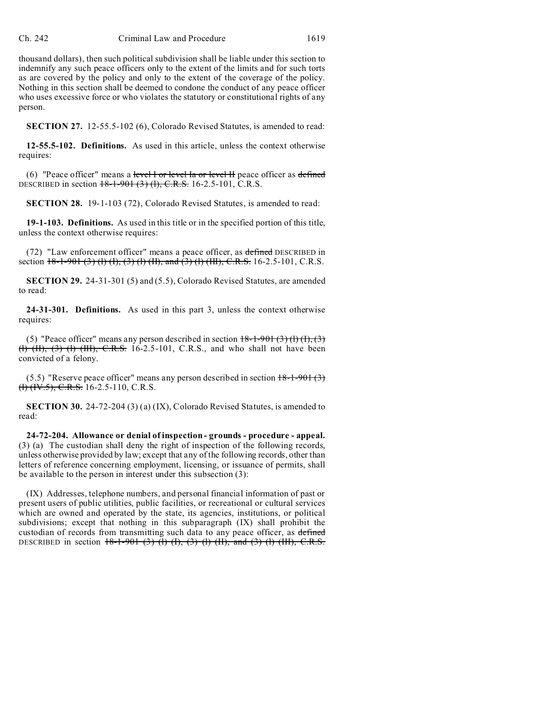thousand dollars), then such political subdivision shall be liable under this section to indemnify any such peace officers only to the extent of the limits and for such torts as are covered by the policy and only to the extent of the coverage of the policy. Nothing in this section shall be deemed to condone the conduct of any peace officer who uses excessive force or who violates the statutory or constitutional rights of any person.

**SECTION 27.** 12-55.5-102 (6), Colorado Revised Statutes, is amended to read:

**12-55.5-102. Definitions.** As used in this article, unless the context otherwise requires:

 $(6)$  "Peace officer" means a level I or level Ia or level II peace officer as defined DESCRIBED in section 18-1-901 (3) (1), C.R.S. 16-2.5-101, C.R.S.

**SECTION 28.** 19-1-103 (72), Colorado Revised Statutes, is amended to read:

**19-1-103. Definitions.** As used in this title or in the specified portion of this title, unless the context otherwise requires:

(72) "Law enforcement officer" means a peace officer, as defined DESCRIBED in section  $18-1-901$  (3) (1) (1), (3) (1) (II), and (3) (1) (III), C.R.S. 16-2.5-101, C.R.S.

**SECTION 29.** 24-31-301 (5) and (5.5), Colorado Revised Statutes, are amended to read:

**24-31-301. Definitions.** As used in this part 3, unless the context otherwise requires:

(5) "Peace officer" means any person described in section  $18-1-901$  (3) (1) (1), (3) (1) (II), (3) (1) (III), C.R.S. 16-2.5-101, C.R.S., and who shall not have been convicted of a felony.

(5.5) "Reserve peace officer" means any person described in section  $18-1-901(3)$  $\left(\text{H}(W.5), \text{C.R.S. } 16-2.5-110, \text{C.R.S.}\right)$ 

**SECTION 30.** 24-72-204 (3) (a) (IX), Colorado Revised Statutes, is amended to read:

**24-72-204. Allowance or denial of inspection - grounds - procedure - appeal.** (3) (a) The custodian shall deny the right of inspection of the following records, unless otherwise provided by law; except that any of the following records, other than letters of reference concerning employment, licensing, or issuance of permits, shall be available to the person in interest under this subsection (3):

(IX) Addresses, telephone numbers, and personal financial information of past or present users of public utilities, public facilities, or recreational or cultural services which are owned and operated by the state, its agencies, institutions, or political subdivisions; except that nothing in this subparagraph (IX) shall prohibit the custodian of records from transmitting such data to any peace officer, as defined DESCRIBED in section  $18-1-901$  (3) (l) (l), (3) (l) (II), and (3) (l) (III), C.R.S.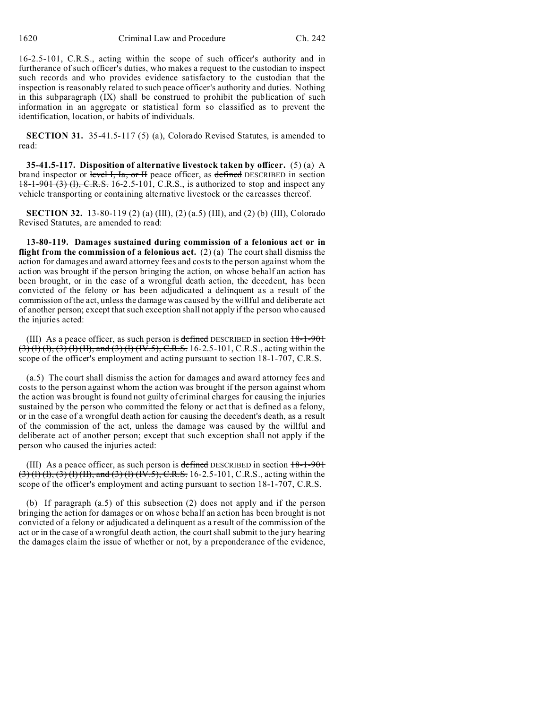16-2.5-101, C.R.S., acting within the scope of such officer's authority and in furtherance of such officer's duties, who makes a request to the custodian to inspect such records and who provides evidence satisfactory to the custodian that the inspection is reasonably related to such peace officer's authority and duties. Nothing in this subparagraph (IX) shall be construed to prohibit the publication of such information in an aggregate or statistical form so classified as to prevent the identification, location, or habits of individuals.

**SECTION 31.** 35-41.5-117 (5) (a), Colorado Revised Statutes, is amended to read:

**35-41.5-117. Disposition of alternative livestock taken by officer.** (5) (a) A brand inspector or level I, Ia, or II peace officer, as defined DESCRIBED in section  $18-1-901$  (3) (1), C.R.S. 16-2.5-101, C.R.S., is authorized to stop and inspect any vehicle transporting or containing alternative livestock or the carcasses thereof.

**SECTION 32.** 13-80-119 (2) (a) (III), (2) (a.5) (III), and (2) (b) (III), Colorado Revised Statutes, are amended to read:

**13-80-119. Damages sustained during commission of a felonious act or in flight from the commission of a felonious act.** (2) (a) The court shall dismiss the action for damages and award attorney fees and costs to the person against whom the action was brought if the person bringing the action, on whose behalf an action has been brought, or in the case of a wrongful death action, the decedent, has been convicted of the felony or has been adjudicated a delinquent as a result of the commission of the act, unless the damage was caused by the willful and deliberate act of another person; except that such exception shall not apply if the person who caused the injuries acted:

(III) As a peace officer, as such person is defined DESCRIBED in section  $18-1-901$  $(3)$  (1) (1), (3) (1) (II), and (3) (1) (IV.5), C.R.S. 16-2.5-101, C.R.S., acting within the scope of the officer's employment and acting pursuant to section 18-1-707, C.R.S.

(a.5) The court shall dismiss the action for damages and award attorney fees and costs to the person against whom the action was brought if the person against whom the action was brought is found not guilty of criminal charges for causing the injuries sustained by the person who committed the felony or act that is defined as a felony, or in the case of a wrongful death action for causing the decedent's death, as a result of the commission of the act, unless the damage was caused by the willful and deliberate act of another person; except that such exception shall not apply if the person who caused the injuries acted:

(III) As a peace officer, as such person is defined DESCRIBED in section  $18-1-901$  $(3)$  (1) (1), (3) (1) (1I), and (3) (1) (IV.5), C.R.S. 16-2.5-101, C.R.S., acting within the scope of the officer's employment and acting pursuant to section 18-1-707, C.R.S.

(b) If paragraph (a.5) of this subsection (2) does not apply and if the person bringing the action for damages or on whose behalf an action has been brought is not convicted of a felony or adjudicated a delinquent as a result of the commission of the act or in the case of a wrongful death action, the court shall submit to the jury hearing the damages claim the issue of whether or not, by a preponderance of the evidence,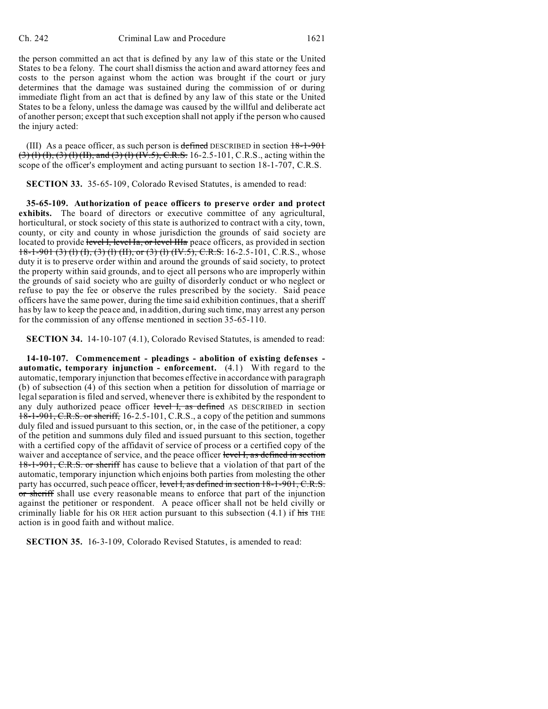the person committed an act that is defined by any law of this state or the United States to be a felony. The court shall dismiss the action and award attorney fees and costs to the person against whom the action was brought if the court or jury determines that the damage was sustained during the commission of or during immediate flight from an act that is defined by any law of this state or the United States to be a felony, unless the damage was caused by the willful and deliberate act of another person; except that such exception shall not apply if the person who caused the injury acted:

(III) As a peace officer, as such person is defined DESCRIBED in section  $18-1-901$  $(3)$  (1) (1), (3) (1) (1I), and (3) (1) (IV.5), C.R.S. 16-2.5-101, C.R.S., acting within the scope of the officer's employment and acting pursuant to section 18-1-707, C.R.S.

**SECTION 33.** 35-65-109, Colorado Revised Statutes, is amended to read:

**35-65-109. Authorization of peace officers to preserve order and protect exhibits.** The board of directors or executive committee of any agricultural, horticultural, or stock society of this state is authorized to contract with a city, town, county, or city and county in whose jurisdiction the grounds of said society are located to provide level I, level Ia, or level IIIa peace officers, as provided in section 18-1-901 (3) (1) (1), (3) (1) (II), or (3) (1) (IV.5), C.R.S. 16-2.5-101, C.R.S., whose duty it is to preserve order within and around the grounds of said society, to protect the property within said grounds, and to eject all persons who are improperly within the grounds of said society who are guilty of disorderly conduct or who neglect or refuse to pay the fee or observe the rules prescribed by the society. Said peace officers have the same power, during the time said exhibition continues, that a sheriff has by law to keep the peace and, in addition, during such time, may arrest any person for the commission of any offense mentioned in section 35-65-110.

**SECTION 34.** 14-10-107 (4.1), Colorado Revised Statutes, is amended to read:

**14-10-107. Commencement - pleadings - abolition of existing defenses automatic, temporary injunction - enforcement.** (4.1) With regard to the automatic, temporary injunction that becomes effective in accordance with paragraph (b) of subsection (4) of this section when a petition for dissolution of marriage or legal separation is filed and served, whenever there is exhibited by the respondent to any duly authorized peace officer level I, as defined AS DESCRIBED in section 18-1-901, C.R.S. or sheriff, 16-2.5-101, C.R.S., a copy of the petition and summons duly filed and issued pursuant to this section, or, in the case of the petitioner, a copy of the petition and summons duly filed and issued pursuant to this section, together with a certified copy of the affidavit of service of process or a certified copy of the waiver and acceptance of service, and the peace officer level I, as defined in section 18-1-901, C.R.S. or sheriff has cause to believe that a violation of that part of the automatic, temporary injunction which enjoins both parties from molesting the other party has occurred, such peace officer, level I, as defined in section 18-1-901, C.R.S. or sheriff shall use every reasonable means to enforce that part of the injunction against the petitioner or respondent. A peace officer shall not be held civilly or criminally liable for his OR HER action pursuant to this subsection  $(4.1)$  if his THE action is in good faith and without malice.

**SECTION 35.** 16-3-109, Colorado Revised Statutes, is amended to read: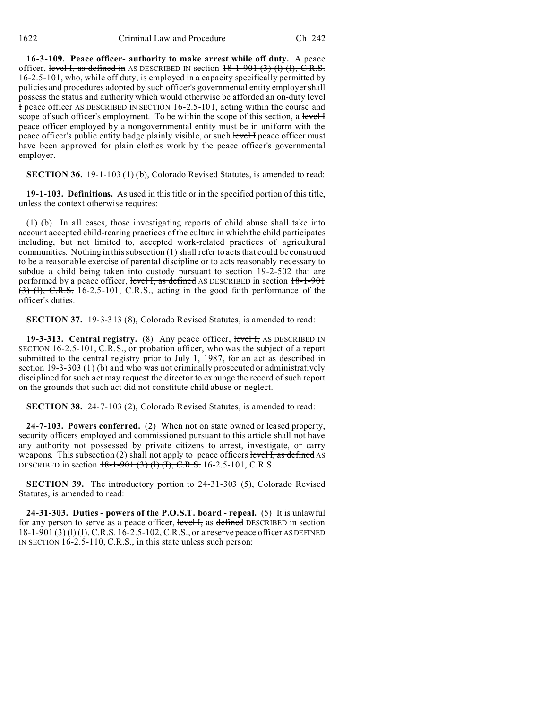**16-3-109. Peace officer- authority to make arrest while off duty.** A peace officer, level I, as defined in AS DESCRIBED IN section  $18-1-901(3)$  (I) (I), C.R.S. 16-2.5-101, who, while off duty, is employed in a capacity specifically permitted by policies and procedures adopted by such officer's governmental entity employer shall possess the status and authority which would otherwise be afforded an on-duty level I peace officer AS DESCRIBED IN SECTION 16-2.5-101, acting within the course and scope of such officer's employment. To be within the scope of this section, a level I peace officer employed by a nongovernmental entity must be in uniform with the peace officer's public entity badge plainly visible, or such level I peace officer must have been approved for plain clothes work by the peace officer's governmental employer.

**SECTION 36.** 19-1-103 (1) (b), Colorado Revised Statutes, is amended to read:

**19-1-103. Definitions.** As used in this title or in the specified portion of this title, unless the context otherwise requires:

(1) (b) In all cases, those investigating reports of child abuse shall take into account accepted child-rearing practices of the culture in which the child participates including, but not limited to, accepted work-related practices of agricultural communities. Nothing in this subsection (1) shall refer to acts that could be construed to be a reasonable exercise of parental discipline or to acts reasonably necessary to subdue a child being taken into custody pursuant to section 19-2-502 that are performed by a peace officer, level I, as defined AS DESCRIBED in section  $18-1-901$  $(3)$  (1), C.R.S. 16-2.5-101, C.R.S., acting in the good faith performance of the officer's duties.

**SECTION 37.** 19-3-313 (8), Colorado Revised Statutes, is amended to read:

**19-3-313. Central registry.** (8) Any peace officer, level H, AS DESCRIBED IN SECTION 16-2.5-101, C.R.S., or probation officer, who was the subject of a report submitted to the central registry prior to July 1, 1987, for an act as described in section 19-3-303 (1) (b) and who was not criminally prosecuted or administratively disciplined for such act may request the director to expunge the record of such report on the grounds that such act did not constitute child abuse or neglect.

**SECTION 38.** 24-7-103 (2), Colorado Revised Statutes, is amended to read:

**24-7-103. Powers conferred.** (2) When not on state owned or leased property, security officers employed and commissioned pursuant to this article shall not have any authority not possessed by private citizens to arrest, investigate, or carry weapons. This subsection (2) shall not apply to peace officers level  $\overline{I}$ , as defined AS DESCRIBED in section  $18-1-901$  (3) (1) (1), C.R.S. 16-2.5-101, C.R.S.

**SECTION 39.** The introductory portion to 24-31-303 (5), Colorado Revised Statutes, is amended to read:

**24-31-303. Duties - powers of the P.O.S.T. board - repeal.** (5) It is unlawful for any person to serve as a peace officer, level I, as defined DESCRIBED in section 18-1-901 (3) (l) (I), C.R.S. 16-2.5-102, C.R.S., or a reserve peace officer AS DEFINED IN SECTION 16-2.5-110, C.R.S., in this state unless such person: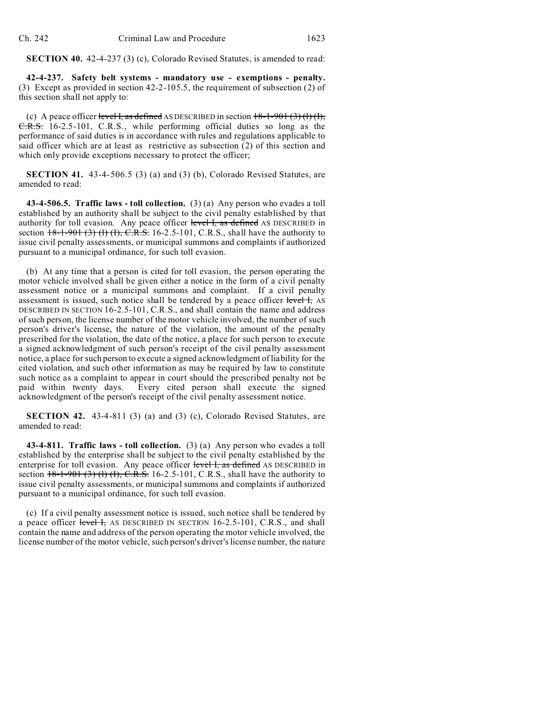**SECTION 40.** 42-4-237 (3) (c), Colorado Revised Statutes, is amended to read:

**42-4-237. Safety belt systems - mandatory use - exemptions - penalty.** (3) Except as provided in section 42-2-105.5, the requirement of subsection (2) of this section shall not apply to:

(c) A peace officer level I, as defined AS DESCRIBED in section  $18-1-901(3)(1)(1)$ , C.R.S. 16-2.5-101, C.R.S., while performing official duties so long as the performance of said duties is in accordance with rules and regulations applicable to said officer which are at least as restrictive as subsection (2) of this section and which only provide exceptions necessary to protect the officer;

**SECTION 41.** 43-4-506.5 (3) (a) and (3) (b), Colorado Revised Statutes, are amended to read:

**43-4-506.5. Traffic laws - toll collection.** (3) (a) Any person who evades a toll established by an authority shall be subject to the civil penalty established by that authority for toll evasion. Any peace officer level I, as defined AS DESCRIBED in section  $18-1-901$  (3) (1) (1), C.R.S. 16-2.5-101, C.R.S., shall have the authority to issue civil penalty assessments, or municipal summons and complaints if authorized pursuant to a municipal ordinance, for such toll evasion.

(b) At any time that a person is cited for toll evasion, the person operating the motor vehicle involved shall be given either a notice in the form of a civil penalty assessment notice or a municipal summons and complaint. If a civil penalty assessment is issued, such notice shall be tendered by a peace officer level I, AS DESCRIBED IN SECTION 16-2.5-101, C.R.S., and shall contain the name and address of such person, the license number of the motor vehicle involved, the number of such person's driver's license, the nature of the violation, the amount of the penalty prescribed for the violation, the date of the notice, a place for such person to execute a signed acknowledgment of such person's receipt of the civil penalty assessment notice, a place for such person to execute a signed acknowledgment of liability for the cited violation, and such other information as may be required by law to constitute such notice as a complaint to appear in court should the prescribed penalty not be paid within twenty days. Every cited person shall execute the signed acknowledgment of the person's receipt of the civil penalty assessment notice.

**SECTION 42.** 43-4-811 (3) (a) and (3) (c), Colorado Revised Statutes, are amended to read:

**43-4-811. Traffic laws - toll collection.** (3) (a) Any person who evades a toll established by the enterprise shall be subject to the civil penalty established by the enterprise for toll evasion. Any peace officer level I, as defined AS DESCRIBED in section  $18-1-901$  (3) (1) (1), C.R.S. 16-2.5-101, C.R.S., shall have the authority to issue civil penalty assessments, or municipal summons and complaints if authorized pursuant to a municipal ordinance, for such toll evasion.

(c) If a civil penalty assessment notice is issued, such notice shall be tendered by a peace officer level I, AS DESCRIBED IN SECTION 16-2.5-101, C.R.S., and shall contain the name and address of the person operating the motor vehicle involved, the license number of the motor vehicle, such person's driver's license number, the nature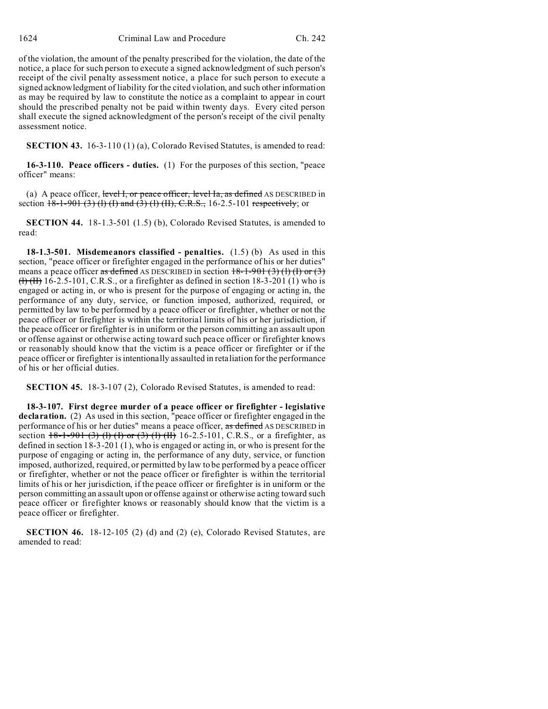of the violation, the amount of the penalty prescribed for the violation, the date of the notice, a place for such person to execute a signed acknowledgment of such person's receipt of the civil penalty assessment notice, a place for such person to execute a signed acknowledgment of liability for the cited violation, and such other information as may be required by law to constitute the notice as a complaint to appear in court should the prescribed penalty not be paid within twenty days. Every cited person shall execute the signed acknowledgment of the person's receipt of the civil penalty assessment notice.

**SECTION 43.** 16-3-110 (1) (a), Colorado Revised Statutes, is amended to read:

**16-3-110. Peace officers - duties.** (1) For the purposes of this section, "peace officer" means:

(a) A peace officer, level I, or peace officer, level Ia, as defined AS DESCRIBED in section  $18-1-901$  (3) (1) (I) and (3) (1) (II), C.R.S., 16-2.5-101 respectively; or

**SECTION 44.** 18-1.3-501 (1.5) (b), Colorado Revised Statutes, is amended to read:

**18-1.3-501. Misdemeanors classified - penalties.** (1.5) (b) As used in this section, "peace officer or firefighter engaged in the performance of his or her duties" means a peace officer as defined AS DESCRIBED in section  $18-1-901(3)(1)(1)$  or (3)  $(H)$  (H) 16-2.5-101, C.R.S., or a firefighter as defined in section 18-3-201 (1) who is engaged or acting in, or who is present for the purpose of engaging or acting in, the performance of any duty, service, or function imposed, authorized, required, or permitted by law to be performed by a peace officer or firefighter, whether or not the peace officer or firefighter is within the territorial limits of his or her jurisdiction, if the peace officer or firefighter is in uniform or the person committing an assault upon or offense against or otherwise acting toward such peace officer or firefighter knows or reasonably should know that the victim is a peace officer or firefighter or if the peace officer or firefighter is intentionally assaulted in retaliation for the performance of his or her official duties.

**SECTION 45.** 18-3-107 (2), Colorado Revised Statutes, is amended to read:

**18-3-107. First degree murder of a peace officer or firefighter - legislative declaration.** (2) As used in this section, "peace officer or firefighter engaged in the performance of his or her duties" means a peace officer, as defined AS DESCRIBED in section  $+8-1-901$  (3) (1) (I) or (3) (1) (II) 16-2.5-101, C.R.S., or a firefighter, as defined in section 18-3-201 (1), who is engaged or acting in, or who is present for the purpose of engaging or acting in, the performance of any duty, service, or function imposed, authorized, required, or permitted by law to be performed by a peace officer or firefighter, whether or not the peace officer or firefighter is within the territorial limits of his or her jurisdiction, if the peace officer or firefighter is in uniform or the person committing an assault upon or offense against or otherwise acting toward such peace officer or firefighter knows or reasonably should know that the victim is a peace officer or firefighter.

**SECTION 46.** 18-12-105 (2) (d) and (2) (e), Colorado Revised Statutes, are amended to read: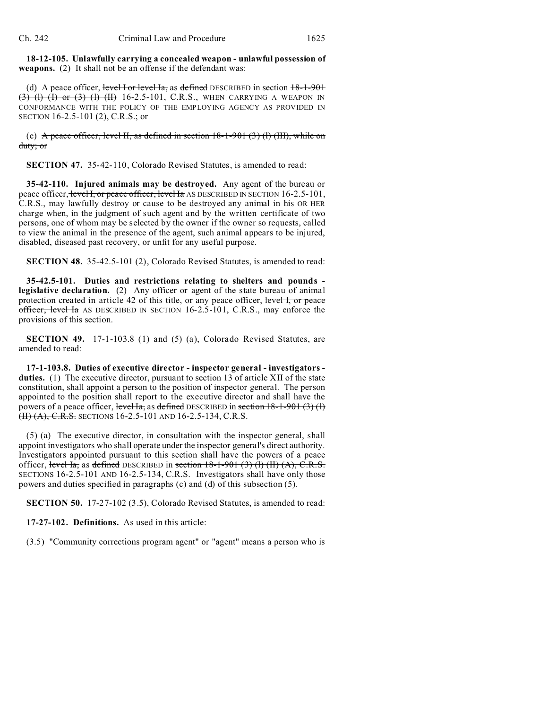**18-12-105. Unlawfully carrying a concealed weapon - unlawful possession of weapons.** (2) It shall not be an offense if the defendant was:

(d) A peace officer, level I or level Ia, as defined DESCRIBED in section  $18-1-901$  $(3)$  (l) (l) or  $(3)$  (l) (ll) 16-2.5-101, C.R.S., WHEN CARRYING A WEAPON IN CONFORMANCE WITH THE POLICY OF THE EMPLOYING AGENCY AS PROVIDED IN SECTION 16-2.5-101 (2), C.R.S.; or

(e) A peace officer, level H, as defined in section  $18-1-901$  (3) (l) (III), while on duty; or

**SECTION 47.** 35-42-110, Colorado Revised Statutes, is amended to read:

**35-42-110. Injured animals may be destroyed.** Any agent of the bureau or peace officer, level I, or peace officer, level Ia AS DESCRIBED IN SECTION 16-2.5-101, C.R.S., may lawfully destroy or cause to be destroyed any animal in his OR HER charge when, in the judgment of such agent and by the written certificate of two persons, one of whom may be selected by the owner if the owner so requests, called to view the animal in the presence of the agent, such animal appears to be injured, disabled, diseased past recovery, or unfit for any useful purpose.

**SECTION 48.** 35-42.5-101 (2), Colorado Revised Statutes, is amended to read:

**35-42.5-101. Duties and restrictions relating to shelters and pounds legislative declaration.** (2) Any officer or agent of the state bureau of animal protection created in article 42 of this title, or any peace officer, level I, or peace officer, level Ia AS DESCRIBED IN SECTION 16-2.5-101, C.R.S., may enforce the provisions of this section.

**SECTION 49.** 17-1-103.8 (1) and (5) (a), Colorado Revised Statutes, are amended to read:

**17-1-103.8. Duties of executive director - inspector general - investigators duties.** (1) The executive director, pursuant to section 13 of article XII of the state constitution, shall appoint a person to the position of inspector general. The person appointed to the position shall report to the executive director and shall have the powers of a peace officer, level Ia, as defined DESCRIBED in section  $18-1-901$  (3) (1) (II) (A), C.R.S. SECTIONS 16-2.5-101 AND 16-2.5-134, C.R.S.

(5) (a) The executive director, in consultation with the inspector general, shall appoint investigators who shall operate under the inspector general's direct authority. Investigators appointed pursuant to this section shall have the powers of a peace officer, level Ia, as defined DESCRIBED in section  $18-1-901$  (3) (1) (II) (A), C.R.S. SECTIONS 16-2.5-101 AND 16-2.5-134, C.R.S. Investigators shall have only those powers and duties specified in paragraphs (c) and (d) of this subsection (5).

**SECTION 50.** 17-27-102 (3.5), Colorado Revised Statutes, is amended to read:

**17-27-102. Definitions.** As used in this article:

(3.5) "Community corrections program agent" or "agent" means a person who is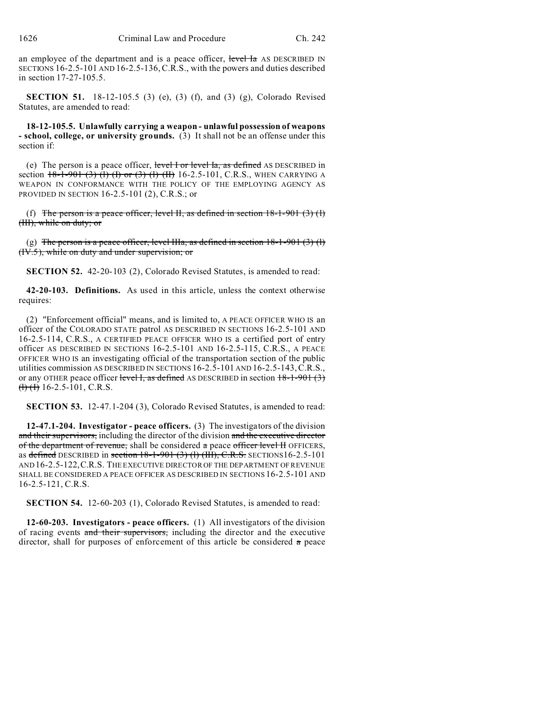an employee of the department and is a peace officer, level Ia AS DESCRIBED IN SECTIONS 16-2.5-101 AND 16-2.5-136,C.R.S., with the powers and duties described in section 17-27-105.5.

**SECTION 51.** 18-12-105.5 (3) (e), (3) (f), and (3) (g), Colorado Revised Statutes, are amended to read:

**18-12-105.5. Unlawfully carrying a weapon - unlawful possession of weapons - school, college, or university grounds.** (3) It shall not be an offense under this section if:

(e) The person is a peace officer, level I or level Ia, as defined AS DESCRIBED in section  $18-1-901$  (3) (1) (f) or (3) (1) (II) 16-2.5-101, C.R.S., WHEN CARRYING A WEAPON IN CONFORMANCE WITH THE POLICY OF THE EMPLOYING AGENCY AS PROVIDED IN SECTION 16-2.5-101 (2), C.R.S.; or

(f) The person is a peace officer, level II, as defined in section  $18-1-901$  (3) (1) (III), while on duty; or

(g) The person is a peace officer, level IIIa, as defined in section  $18-1-901$  (3) (l) (IV.5), while on duty and under supervision; or

**SECTION 52.** 42-20-103 (2), Colorado Revised Statutes, is amended to read:

**42-20-103. Definitions.** As used in this article, unless the context otherwise requires:

(2) "Enforcement official" means, and is limited to, A PEACE OFFICER WHO IS an officer of the COLORADO STATE patrol AS DESCRIBED IN SECTIONS 16-2.5-101 AND 16-2.5-114, C.R.S., A CERTIFIED PEACE OFFICER WHO IS a certified port of entry officer AS DESCRIBED IN SECTIONS 16-2.5-101 AND 16-2.5-115, C.R.S., A PEACE OFFICER WHO IS an investigating official of the transportation section of the public utilities commission AS DESCRIBED IN SECTIONS 16-2.5-101 AND 16-2.5-143,C.R.S., or any OTHER peace officer level I, as defined AS DESCRIBED in section  $18-1-901(3)$  $\left(\frac{1}{1}\right)$  ( $\frac{1}{10}$  16-2.5-101, C.R.S.

**SECTION 53.** 12-47.1-204 (3), Colorado Revised Statutes, is amended to read:

**12-47.1-204. Investigator - peace officers.** (3) The investigators of the division and their supervisors, including the director of the division and the executive director of the department of revenue, shall be considered a peace officer level H OFFICERS, as defined DESCRIBED in section  $18-1-901$  (3) (l) (III), C.R.S. SECTIONS16-2.5-101 AND 16-2.5-122,C.R.S. THE EXECUTIVE DIRECTOR OF THE DEPARTMENT OF REVENUE SHALL BE CONSIDERED A PEACE OFFICER AS DESCRIBED IN SECTIONS 16-2.5-101 AND 16-2.5-121, C.R.S.

**SECTION 54.** 12-60-203 (1), Colorado Revised Statutes, is amended to read:

**12-60-203. Investigators - peace officers.** (1) All investigators of the division of racing events and their supervisors, including the director and the executive director, shall for purposes of enforcement of this article be considered  $\alpha$  peace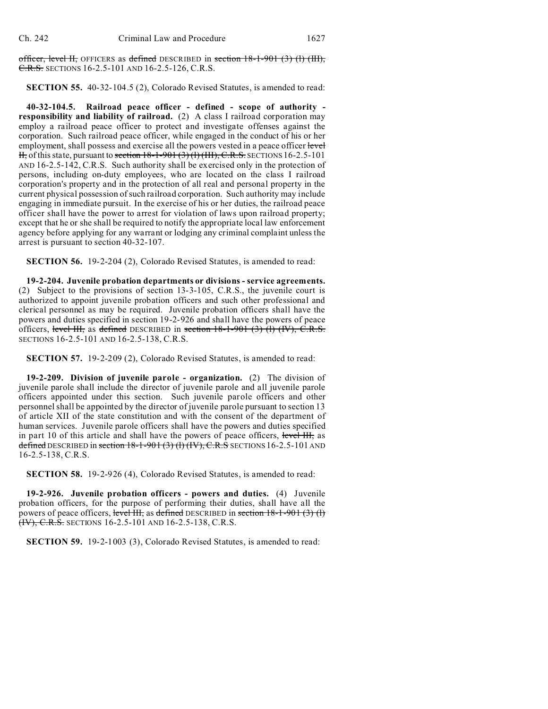officer, level II, OFFICERS as defined DESCRIBED in section 18-1-901 (3) (l) (III), C.R.S. SECTIONS 16-2.5-101 AND 16-2.5-126, C.R.S.

**SECTION 55.** 40-32-104.5 (2), Colorado Revised Statutes, is amended to read:

**40-32-104.5. Railroad peace officer - defined - scope of authority responsibility and liability of railroad.** (2) A class I railroad corporation may employ a railroad peace officer to protect and investigate offenses against the corporation. Such railroad peace officer, while engaged in the conduct of his or her employment, shall possess and exercise all the powers vested in a peace officer level  $H<sub>1</sub>$ , of this state, pursuant to section 18-1-901 (3) (1) (III), C.R.S. SECTIONS 16-2.5-101 AND 16-2.5-142, C.R.S. Such authority shall be exercised only in the protection of persons, including on-duty employees, who are located on the class I railroad corporation's property and in the protection of all real and personal property in the current physical possession of such railroad corporation. Such authority may include engaging in immediate pursuit. In the exercise of his or her duties, the railroad peace officer shall have the power to arrest for violation of laws upon railroad property; except that he or she shall be required to notify the appropriate local law enforcement agency before applying for any warrant or lodging any criminal complaint unless the arrest is pursuant to section 40-32-107.

**SECTION 56.** 19-2-204 (2), Colorado Revised Statutes, is amended to read:

**19-2-204. Juvenile probation departments or divisions - service agreements.** (2) Subject to the provisions of section 13-3-105, C.R.S., the juvenile court is authorized to appoint juvenile probation officers and such other professional and clerical personnel as may be required. Juvenile probation officers shall have the powers and duties specified in section 19-2-926 and shall have the powers of peace officers, level III, as defined DESCRIBED in section  $18-1-901$  (3) (1) (IV), C.R.S. SECTIONS 16-2.5-101 AND 16-2.5-138, C.R.S.

**SECTION 57.** 19-2-209 (2), Colorado Revised Statutes, is amended to read:

**19-2-209. Division of juvenile parole - organization.** (2) The division of juvenile parole shall include the director of juvenile parole and all juvenile parole officers appointed under this section. Such juvenile parole officers and other personnel shall be appointed by the director of juvenile parole pursuant to section 13 of article XII of the state constitution and with the consent of the department of human services. Juvenile parole officers shall have the powers and duties specified in part 10 of this article and shall have the powers of peace officers, level III, as defined DESCRIBED in section  $18-1-901(3)$  (1) (IV), C.R.S SECTIONS 16-2.5-101 AND 16-2.5-138, C.R.S.

**SECTION 58.** 19-2-926 (4), Colorado Revised Statutes, is amended to read:

**19-2-926. Juvenile probation officers - powers and duties.** (4) Juvenile probation officers, for the purpose of performing their duties, shall have all the powers of peace officers, level III, as defined DESCRIBED in section 18-1-901 (3) (1) (IV), C.R.S. SECTIONS 16-2.5-101 AND 16-2.5-138, C.R.S.

**SECTION 59.** 19-2-1003 (3), Colorado Revised Statutes, is amended to read: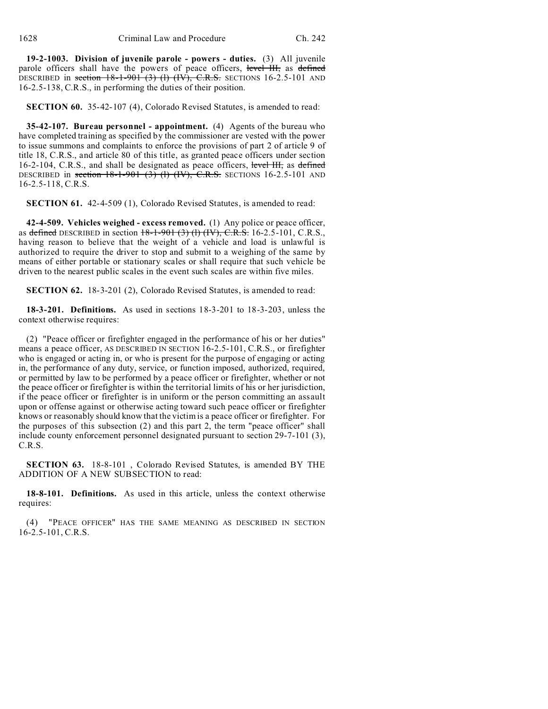**19-2-1003. Division of juvenile parole - powers - duties.** (3) All juvenile parole officers shall have the powers of peace officers, level III, as defined DESCRIBED in section  $18-1-901$  (3) (1) (IV), C.R.S. SECTIONS 16-2.5-101 AND 16-2.5-138, C.R.S., in performing the duties of their position.

**SECTION 60.** 35-42-107 (4), Colorado Revised Statutes, is amended to read:

**35-42-107. Bureau personnel - appointment.** (4) Agents of the bureau who have completed training as specified by the commissioner are vested with the power to issue summons and complaints to enforce the provisions of part 2 of article 9 of title 18, C.R.S., and article 80 of this title, as granted peace officers under section 16-2-104, C.R.S., and shall be designated as peace officers, level III, as defined DESCRIBED in section  $18-1-901$  (3) (l) (IV), C.R.S. SECTIONS 16-2.5-101 AND 16-2.5-118, C.R.S.

**SECTION 61.** 42-4-509 (1), Colorado Revised Statutes, is amended to read:

**42-4-509. Vehicles weighed - excess removed.** (1) Any police or peace officer, as defined DESCRIBED in section  $18-1-901$  (3) (1) (IV), C.R.S. 16-2.5-101, C.R.S., having reason to believe that the weight of a vehicle and load is unlawful is authorized to require the driver to stop and submit to a weighing of the same by means of either portable or stationary scales or shall require that such vehicle be driven to the nearest public scales in the event such scales are within five miles.

**SECTION 62.** 18-3-201 (2), Colorado Revised Statutes, is amended to read:

**18-3-201. Definitions.** As used in sections 18-3-201 to 18-3-203, unless the context otherwise requires:

(2) "Peace officer or firefighter engaged in the performance of his or her duties" means a peace officer, AS DESCRIBED IN SECTION 16-2.5-101, C.R.S., or firefighter who is engaged or acting in, or who is present for the purpose of engaging or acting in, the performance of any duty, service, or function imposed, authorized, required, or permitted by law to be performed by a peace officer or firefighter, whether or not the peace officer or firefighter is within the territorial limits of his or her jurisdiction, if the peace officer or firefighter is in uniform or the person committing an assault upon or offense against or otherwise acting toward such peace officer or firefighter knows or reasonably should know that the victim is a peace officer or firefighter. For the purposes of this subsection (2) and this part 2, the term "peace officer" shall include county enforcement personnel designated pursuant to section 29-7-101 (3), C.R.S.

**SECTION 63.** 18-8-101 , Colorado Revised Statutes, is amended BY THE ADDITION OF A NEW SUBSECTION to read:

**18-8-101. Definitions.** As used in this article, unless the context otherwise requires:

(4) "PEACE OFFICER" HAS THE SAME MEANING AS DESCRIBED IN SECTION 16-2.5-101, C.R.S.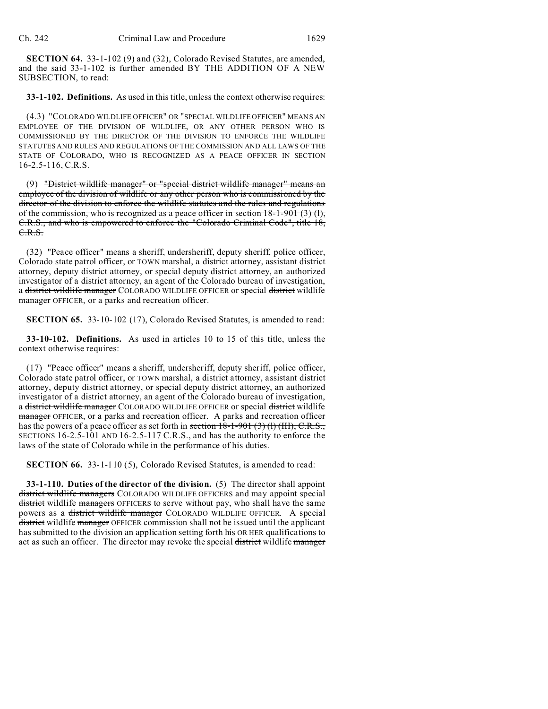**SECTION 64.** 33-1-102 (9) and (32), Colorado Revised Statutes, are amended, and the said 33-1-102 is further amended BY THE ADDITION OF A NEW SUBSECTION, to read:

**33-1-102. Definitions.** As used in this title, unless the context otherwise requires:

(4.3) "COLORADO WILDLIFE OFFICER" OR "SPECIAL WILDLIFE OFFICER" MEANS AN EMPLOYEE OF THE DIVISION OF WILDLIFE, OR ANY OTHER PERSON WHO IS COMMISSIONED BY THE DIRECTOR OF THE DIVISION TO ENFORCE THE WILDLIFE STATUTES AND RULES AND REGULATIONS OF THE COMMISSION AND ALL LAWS OF THE STATE OF COLORADO, WHO IS RECOGNIZED AS A PEACE OFFICER IN SECTION 16-2.5-116, C.R.S.

(9) "District wildlife manager" or "special district wildlife manager" means an employee of the division of wildlife or any other person who is commissioned by the director of the division to enforce the wildlife statutes and the rules and regulations of the commission, who is recognized as a peace officer in section  $18-1-901$  (3) (1), C.R.S., and who is empowered to enforce the "Colorado Criminal Code", title 18, C.R.S.

(32) "Peace officer" means a sheriff, undersheriff, deputy sheriff, police officer, Colorado state patrol officer, or TOWN marshal, a district attorney, assistant district attorney, deputy district attorney, or special deputy district attorney, an authorized investigator of a district attorney, an agent of the Colorado bureau of investigation, a district wildlife manager COLORADO WILDLIFE OFFICER or special district wildlife manager OFFICER, or a parks and recreation officer.

**SECTION 65.** 33-10-102 (17), Colorado Revised Statutes, is amended to read:

**33-10-102. Definitions.** As used in articles 10 to 15 of this title, unless the context otherwise requires:

(17) "Peace officer" means a sheriff, undersheriff, deputy sheriff, police officer, Colorado state patrol officer, or TOWN marshal, a district attorney, assistant district attorney, deputy district attorney, or special deputy district attorney, an authorized investigator of a district attorney, an agent of the Colorado bureau of investigation, a district wildlife manager COLORADO WILDLIFE OFFICER or special district wildlife manager OFFICER, or a parks and recreation officer. A parks and recreation officer has the powers of a peace officer as set forth in section  $18-1-901$  (3) (1) (III), C.R.S., SECTIONS 16-2.5-101 AND 16-2.5-117 C.R.S., and has the authority to enforce the laws of the state of Colorado while in the performance of his duties.

**SECTION 66.** 33-1-110 (5), Colorado Revised Statutes, is amended to read:

**33-1-110. Duties of the director of the division.** (5) The director shall appoint district wildlife managers COLORADO WILDLIFE OFFICERS and may appoint special district wildlife managers OFFICERS to serve without pay, who shall have the same powers as a district wildlife manager COLORADO WILDLIFE OFFICER. A special district wildlife manager OFFICER commission shall not be issued until the applicant has submitted to the division an application setting forth his OR HER qualifications to act as such an officer. The director may revoke the special district wildlife manager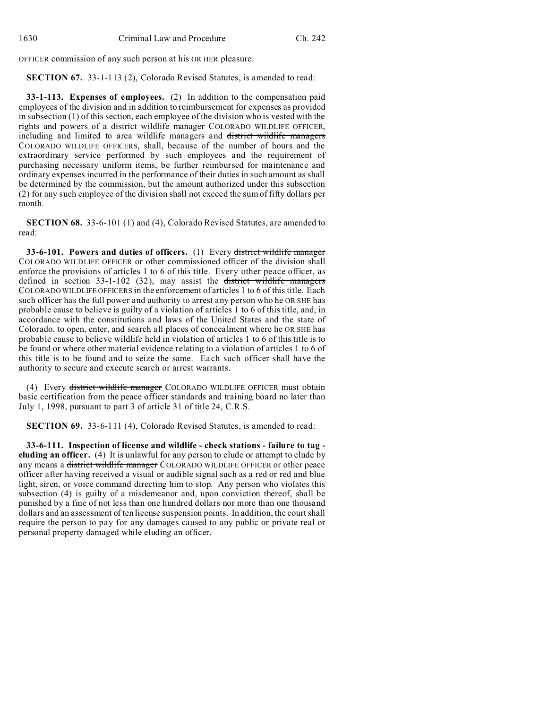OFFICER commission of any such person at his OR HER pleasure.

**SECTION 67.** 33-1-113 (2), Colorado Revised Statutes, is amended to read:

**33-1-113. Expenses of employees.** (2) In addition to the compensation paid employees of the division and in addition to reimbursement for expenses as provided in subsection (1) of this section, each employee of the division who is vested with the rights and powers of a district wildlife manager COLORADO WILDLIFE OFFICER, including and limited to area wildlife managers and district wildlife managers COLORADO WILDLIFE OFFICERS, shall, because of the number of hours and the extraordinary service performed by such employees and the requirement of purchasing necessary uniform items, be further reimbursed for maintenance and ordinary expenses incurred in the performance of their duties in such amount as shall be determined by the commission, but the amount authorized under this subsection (2) for any such employee of the division shall not exceed the sum of fifty dollars per month.

**SECTION 68.** 33-6-101 (1) and (4), Colorado Revised Statutes, are amended to read:

**33-6-101. Powers and duties of officers.** (1) Every district wildlife manager COLORADO WILDLIFE OFFICER or other commissioned officer of the division shall enforce the provisions of articles 1 to 6 of this title. Every other peace officer, as defined in section 33-1-102 (32), may assist the district wildlife managers COLORADO WILDLIFE OFFICERS in the enforcement of articles 1 to 6 of this title. Each such officer has the full power and authority to arrest any person who he OR SHE has probable cause to believe is guilty of a violation of articles 1 to 6 of this title, and, in accordance with the constitutions and laws of the United States and the state of Colorado, to open, enter, and search all places of concealment where he OR SHE has probable cause to believe wildlife held in violation of articles 1 to 6 of this title is to be found or where other material evidence relating to a violation of articles 1 to 6 of this title is to be found and to seize the same. Each such officer shall have the authority to secure and execute search or arrest warrants.

(4) Every district wildlife manager COLORADO WILDLIFE OFFICER must obtain basic certification from the peace officer standards and training board no later than July 1, 1998, pursuant to part 3 of article 31 of title 24, C.R.S.

**SECTION 69.** 33-6-111 (4), Colorado Revised Statutes, is amended to read:

**33-6-111. Inspection of license and wildlife - check stations - failure to tag eluding an officer.** (4) It is unlawful for any person to elude or attempt to elude by any means a district wildlife manager COLORADO WILDLIFE OFFICER or other peace officer after having received a visual or audible signal such as a red or red and blue light, siren, or voice command directing him to stop. Any person who violates this subsection (4) is guilty of a misdemeanor and, upon conviction thereof, shall be punished by a fine of not less than one hundred dollars nor more than one thousand dollars and an assessment of ten license suspension points. In addition, the court shall require the person to pay for any damages caused to any public or private real or personal property damaged while eluding an officer.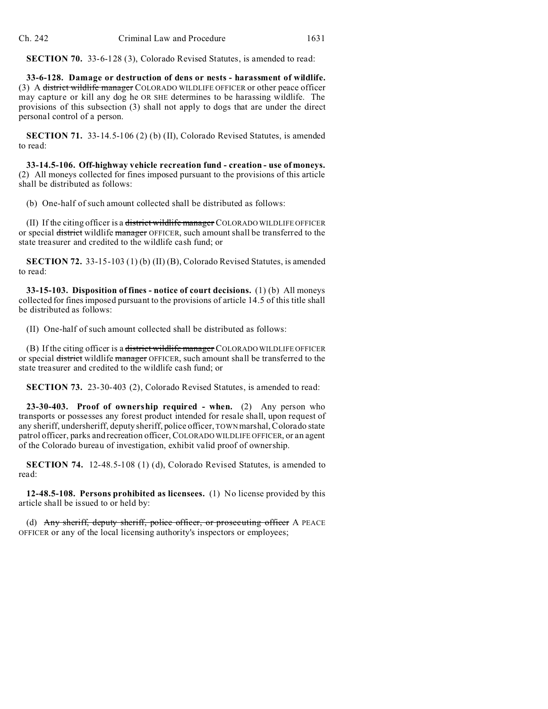**SECTION 70.** 33-6-128 (3), Colorado Revised Statutes, is amended to read:

**33-6-128. Damage or destruction of dens or nests - harassment of wildlife.** (3) A district wildlife manager COLORADO WILDLIFE OFFICER or other peace officer may capture or kill any dog he OR SHE determines to be harassing wildlife. The provisions of this subsection (3) shall not apply to dogs that are under the direct personal control of a person.

**SECTION 71.** 33-14.5-106 (2) (b) (II), Colorado Revised Statutes, is amended to read:

**33-14.5-106. Off-highway vehicle recreation fund - creation - use of moneys.** (2) All moneys collected for fines imposed pursuant to the provisions of this article shall be distributed as follows:

(b) One-half of such amount collected shall be distributed as follows:

(II) If the citing officer is a district wildlife manager COLORADO WILDLIFE OFFICER or special district wildlife manager OFFICER, such amount shall be transferred to the state treasurer and credited to the wildlife cash fund; or

**SECTION 72.** 33-15-103 (1) (b) (II) (B), Colorado Revised Statutes, is amended to read:

**33-15-103. Disposition of fines - notice of court decisions.** (1) (b) All moneys collected for fines imposed pursuant to the provisions of article 14.5 of this title shall be distributed as follows:

(II) One-half of such amount collected shall be distributed as follows:

(B) If the citing officer is a district wildlife manager COLORADO WILDLIFE OFFICER or special district wildlife manager OFFICER, such amount shall be transferred to the state treasurer and credited to the wildlife cash fund; or

**SECTION 73.** 23-30-403 (2), Colorado Revised Statutes, is amended to read:

**23-30-403. Proof of ownership required - when.** (2) Any person who transports or possesses any forest product intended for resale shall, upon request of any sheriff, undersheriff, deputy sheriff, police officer, TOWN marshal, Colorado state patrol officer, parks and recreation officer, COLORADO WILDLIFE OFFICER, or an agent of the Colorado bureau of investigation, exhibit valid proof of ownership.

**SECTION 74.** 12-48.5-108 (1) (d), Colorado Revised Statutes, is amended to read:

**12-48.5-108. Persons prohibited as licensees.** (1) No license provided by this article shall be issued to or held by:

(d) Any sheriff, deputy sheriff, police officer, or prosecuting officer A PEACE OFFICER or any of the local licensing authority's inspectors or employees;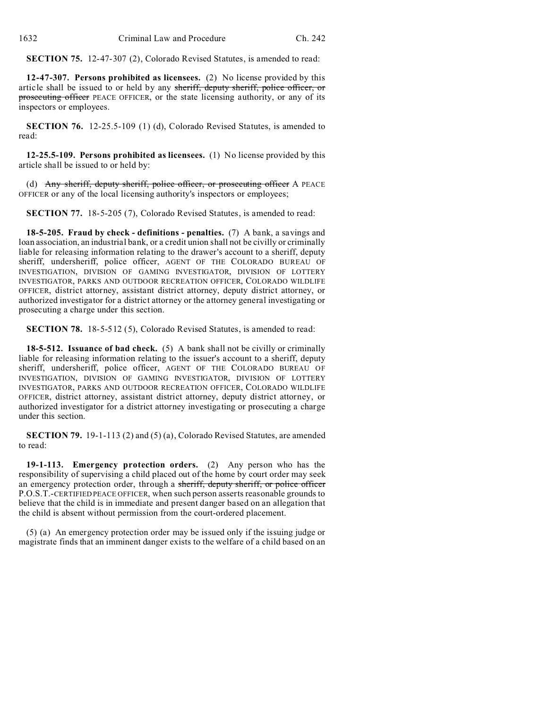**SECTION 75.** 12-47-307 (2), Colorado Revised Statutes, is amended to read:

**12-47-307. Persons prohibited as licensees.** (2) No license provided by this article shall be issued to or held by any sheriff, deputy sheriff, police officer, or prosecuting officer PEACE OFFICER, or the state licensing authority, or any of its inspectors or employees.

**SECTION 76.** 12-25.5-109 (1) (d), Colorado Revised Statutes, is amended to read:

**12-25.5-109. Persons prohibited as licensees.** (1) No license provided by this article shall be issued to or held by:

(d) Any sheriff, deputy sheriff, police officer, or prosecuting officer A PEACE OFFICER or any of the local licensing authority's inspectors or employees;

**SECTION 77.** 18-5-205 (7), Colorado Revised Statutes, is amended to read:

**18-5-205. Fraud by check - definitions - penalties.** (7) A bank, a savings and loan association, an industrial bank, or a credit union shall not be civilly or criminally liable for releasing information relating to the drawer's account to a sheriff, deputy sheriff, undersheriff, police officer, AGENT OF THE COLORADO BUREAU OF INVESTIGATION, DIVISION OF GAMING INVESTIGATOR, DIVISION OF LOTTERY INVESTIGATOR, PARKS AND OUTDOOR RECREATION OFFICER, COLORADO WILDLIFE OFFICER, district attorney, assistant district attorney, deputy district attorney, or authorized investigator for a district attorney or the attorney general investigating or prosecuting a charge under this section.

**SECTION 78.** 18-5-512 (5), Colorado Revised Statutes, is amended to read:

**18-5-512. Issuance of bad check.** (5) A bank shall not be civilly or criminally liable for releasing information relating to the issuer's account to a sheriff, deputy sheriff, undersheriff, police officer, AGENT OF THE COLORADO BUREAU OF INVESTIGATION, DIVISION OF GAMING INVESTIGATOR, DIVISION OF LOTTERY INVESTIGATOR, PARKS AND OUTDOOR RECREATION OFFICER, COLORADO WILDLIFE OFFICER, district attorney, assistant district attorney, deputy district attorney, or authorized investigator for a district attorney investigating or prosecuting a charge under this section.

**SECTION 79.** 19-1-113 (2) and (5) (a), Colorado Revised Statutes, are amended to read:

**19-1-113. Emergency protection orders.** (2) Any person who has the responsibility of supervising a child placed out of the home by court order may seek an emergency protection order, through a sheriff, deputy sheriff, or police officer P.O.S.T.-CERTIFIED PEACE OFFICER, when such person asserts reasonable grounds to believe that the child is in immediate and present danger based on an allegation that the child is absent without permission from the court-ordered placement.

(5) (a) An emergency protection order may be issued only if the issuing judge or magistrate finds that an imminent danger exists to the welfare of a child based on an